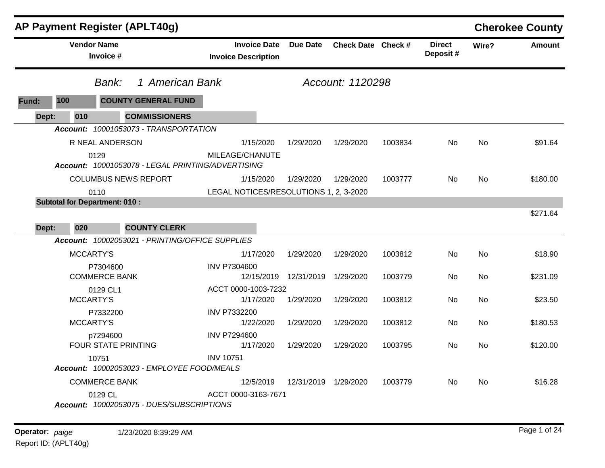| <b>AP Payment Register (APLT40g)</b>                                        |                                                   |                       |                    |         |                           |           | <b>Cherokee County</b> |
|-----------------------------------------------------------------------------|---------------------------------------------------|-----------------------|--------------------|---------|---------------------------|-----------|------------------------|
| <b>Vendor Name</b><br>Invoice #                                             | <b>Invoice Date</b><br><b>Invoice Description</b> | Due Date              | Check Date Check # |         | <b>Direct</b><br>Deposit# | Wire?     | <b>Amount</b>          |
| 1 American Bank<br>Bank:                                                    |                                                   |                       | Account: 1120298   |         |                           |           |                        |
| 100<br><b>COUNTY GENERAL FUND</b><br>Fund:                                  |                                                   |                       |                    |         |                           |           |                        |
| <b>COMMISSIONERS</b><br>Dept:<br>010                                        |                                                   |                       |                    |         |                           |           |                        |
| Account: 10001053073 - TRANSPORTATION                                       |                                                   |                       |                    |         |                           |           |                        |
| R NEAL ANDERSON                                                             | 1/15/2020                                         | 1/29/2020             | 1/29/2020          | 1003834 | No.                       | No.       | \$91.64                |
| 0129<br>Account: 10001053078 - LEGAL PRINTING/ADVERTISING                   | MILEAGE/CHANUTE                                   |                       |                    |         |                           |           |                        |
| <b>COLUMBUS NEWS REPORT</b>                                                 | 1/15/2020                                         | 1/29/2020             | 1/29/2020          | 1003777 | No.                       | No        | \$180.00               |
| 0110                                                                        | LEGAL NOTICES/RESOLUTIONS 1, 2, 3-2020            |                       |                    |         |                           |           |                        |
| <b>Subtotal for Department: 010:</b><br>Dept:<br>020<br><b>COUNTY CLERK</b> |                                                   |                       |                    |         |                           |           | \$271.64               |
| Account: 10002053021 - PRINTING/OFFICE SUPPLIES                             |                                                   |                       |                    |         |                           |           |                        |
| <b>MCCARTY'S</b>                                                            | 1/17/2020                                         | 1/29/2020             | 1/29/2020          | 1003812 | No.                       | <b>No</b> | \$18.90                |
| P7304600<br><b>COMMERCE BANK</b>                                            | <b>INV P7304600</b>                               | 12/15/2019 12/31/2019 | 1/29/2020          | 1003779 | No.                       | No        | \$231.09               |
| 0129 CL1<br><b>MCCARTY'S</b>                                                | ACCT 0000-1003-7232<br>1/17/2020                  | 1/29/2020             | 1/29/2020          | 1003812 | No.                       | No        | \$23.50                |
| P7332200<br><b>MCCARTY'S</b>                                                | <b>INV P7332200</b><br>1/22/2020                  | 1/29/2020             | 1/29/2020          | 1003812 | No.                       | No        | \$180.53               |
| p7294600<br><b>FOUR STATE PRINTING</b>                                      | <b>INV P7294600</b><br>1/17/2020                  | 1/29/2020             | 1/29/2020          | 1003795 | No.                       | No.       | \$120.00               |
| 10751<br>Account: 10002053023 - EMPLOYEE FOOD/MEALS                         | <b>INV 10751</b>                                  |                       |                    |         |                           |           |                        |
| <b>COMMERCE BANK</b>                                                        | 12/5/2019                                         | 12/31/2019            | 1/29/2020          | 1003779 | No.                       | No        | \$16.28                |
| 0129 CL<br>Account: 10002053075 - DUES/SUBSCRIPTIONS                        | ACCT 0000-3163-7671                               |                       |                    |         |                           |           |                        |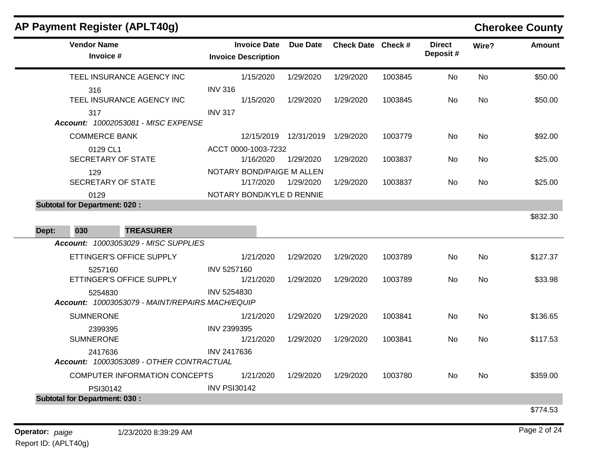| AP Payment Register (APLT40g)                              |                                                   |                       |                    |         |                           |           | <b>Cherokee County</b> |
|------------------------------------------------------------|---------------------------------------------------|-----------------------|--------------------|---------|---------------------------|-----------|------------------------|
| <b>Vendor Name</b><br>Invoice #                            | <b>Invoice Date</b><br><b>Invoice Description</b> | <b>Due Date</b>       | Check Date Check # |         | <b>Direct</b><br>Deposit# | Wire?     | <b>Amount</b>          |
| TEEL INSURANCE AGENCY INC                                  | 1/15/2020                                         | 1/29/2020             | 1/29/2020          | 1003845 | <b>No</b>                 | <b>No</b> | \$50.00                |
| 316<br>TEEL INSURANCE AGENCY INC                           | <b>INV 316</b><br>1/15/2020                       | 1/29/2020             | 1/29/2020          | 1003845 | <b>No</b>                 | No        | \$50.00                |
| 317<br>Account: 10002053081 - MISC EXPENSE                 | <b>INV 317</b>                                    |                       |                    |         |                           |           |                        |
| <b>COMMERCE BANK</b>                                       |                                                   | 12/15/2019 12/31/2019 | 1/29/2020          | 1003779 | No                        | No        | \$92.00                |
| 0129 CL1                                                   | ACCT 0000-1003-7232                               |                       |                    |         |                           |           |                        |
| <b>SECRETARY OF STATE</b>                                  | 1/16/2020                                         | 1/29/2020             | 1/29/2020          | 1003837 | No.                       | No.       | \$25.00                |
| 129                                                        | NOTARY BOND/PAIGE M ALLEN                         |                       |                    |         |                           |           |                        |
| <b>SECRETARY OF STATE</b>                                  | 1/17/2020                                         | 1/29/2020             | 1/29/2020          | 1003837 | No.                       | <b>No</b> | \$25.00                |
| 0129<br><b>Subtotal for Department: 020:</b>               | NOTARY BOND/KYLE D RENNIE                         |                       |                    |         |                           |           |                        |
| 030<br><b>TREASURER</b><br>Dept:                           |                                                   |                       |                    |         |                           |           | \$832.30               |
| <b>Account: 10003053029 - MISC SUPPLIES</b>                |                                                   |                       |                    |         |                           |           |                        |
| ETTINGER'S OFFICE SUPPLY                                   | 1/21/2020                                         | 1/29/2020             | 1/29/2020          | 1003789 | No                        | No        | \$127.37               |
| 5257160<br>ETTINGER'S OFFICE SUPPLY                        | INV 5257160<br>1/21/2020                          | 1/29/2020             | 1/29/2020          | 1003789 | No                        | No        | \$33.98                |
| 5254830<br>Account: 10003053079 - MAINT/REPAIRS MACH/EQUIP | <b>INV 5254830</b>                                |                       |                    |         |                           |           |                        |
| <b>SUMNERONE</b>                                           | 1/21/2020                                         | 1/29/2020             | 1/29/2020          | 1003841 | <b>No</b>                 | <b>No</b> | \$136.65               |
| 2399395<br><b>SUMNERONE</b>                                | INV 2399395<br>1/21/2020                          | 1/29/2020             | 1/29/2020          | 1003841 | <b>No</b>                 | <b>No</b> | \$117.53               |
| 2417636<br>Account: 10003053089 - OTHER CONTRACTUAL        | <b>INV 2417636</b>                                |                       |                    |         |                           |           |                        |
| COMPUTER INFORMATION CONCEPTS                              | 1/21/2020                                         | 1/29/2020             | 1/29/2020          | 1003780 | No                        | No        | \$359.00               |
| PSI30142                                                   | <b>INV PSI30142</b>                               |                       |                    |         |                           |           |                        |
| <b>Subtotal for Department: 030:</b>                       |                                                   |                       |                    |         |                           |           |                        |
|                                                            |                                                   |                       |                    |         |                           |           | \$774.53               |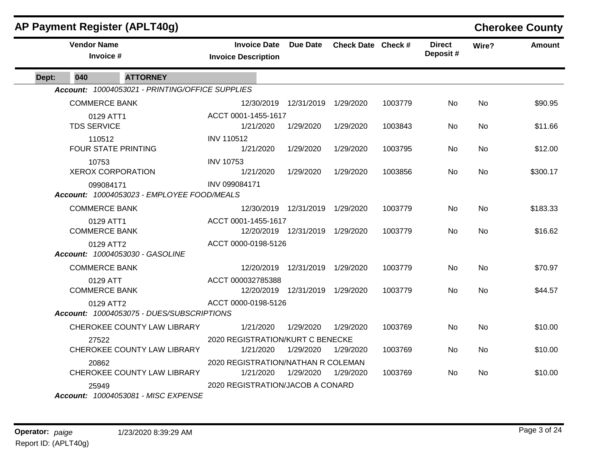|              | <b>AP Payment Register (APLT40g)</b>                    |                                                   |                                   |                    |         |                           |           | <b>Cherokee County</b> |
|--------------|---------------------------------------------------------|---------------------------------------------------|-----------------------------------|--------------------|---------|---------------------------|-----------|------------------------|
|              | <b>Vendor Name</b><br>Invoice #                         | <b>Invoice Date</b><br><b>Invoice Description</b> | Due Date                          | Check Date Check # |         | <b>Direct</b><br>Deposit# | Wire?     | <b>Amount</b>          |
| 040<br>Dept: | <b>ATTORNEY</b>                                         |                                                   |                                   |                    |         |                           |           |                        |
|              | Account: 10004053021 - PRINTING/OFFICE SUPPLIES         |                                                   |                                   |                    |         |                           |           |                        |
|              | <b>COMMERCE BANK</b>                                    |                                                   | 12/30/2019 12/31/2019             | 1/29/2020          | 1003779 | No.                       | No        | \$90.95                |
|              | 0129 ATT1<br><b>TDS SERVICE</b>                         | ACCT 0001-1455-1617<br>1/21/2020                  | 1/29/2020                         | 1/29/2020          | 1003843 | <b>No</b>                 | No        | \$11.66                |
|              | 110512<br><b>FOUR STATE PRINTING</b>                    | <b>INV 110512</b><br>1/21/2020                    | 1/29/2020                         | 1/29/2020          | 1003795 | No                        | No        | \$12.00                |
|              | 10753<br><b>XEROX CORPORATION</b>                       | <b>INV 10753</b><br>1/21/2020                     | 1/29/2020                         | 1/29/2020          | 1003856 | No.                       | No        | \$300.17               |
|              | 099084171<br>Account: 10004053023 - EMPLOYEE FOOD/MEALS | INV 099084171                                     |                                   |                    |         |                           |           |                        |
|              | <b>COMMERCE BANK</b>                                    |                                                   | 12/30/2019  12/31/2019  1/29/2020 |                    | 1003779 | No.                       | <b>No</b> | \$183.33               |
|              | 0129 ATT1<br><b>COMMERCE BANK</b>                       | ACCT 0001-1455-1617                               | 12/20/2019  12/31/2019  1/29/2020 |                    | 1003779 | No.                       | <b>No</b> | \$16.62                |
|              | 0129 ATT2<br>Account: 10004053030 - GASOLINE            | ACCT 0000-0198-5126                               |                                   |                    |         |                           |           |                        |
|              | <b>COMMERCE BANK</b>                                    |                                                   | 12/20/2019 12/31/2019 1/29/2020   |                    | 1003779 | <b>No</b>                 | No        | \$70.97                |
|              | 0129 ATT<br><b>COMMERCE BANK</b>                        | ACCT 000032785388                                 | 12/20/2019  12/31/2019  1/29/2020 |                    | 1003779 | No.                       | No        | \$44.57                |
|              | 0129 ATT2<br>Account: 10004053075 - DUES/SUBSCRIPTIONS  | ACCT 0000-0198-5126                               |                                   |                    |         |                           |           |                        |
|              | CHEROKEE COUNTY LAW LIBRARY                             | 1/21/2020                                         | 1/29/2020                         | 1/29/2020          | 1003769 | <b>No</b>                 | <b>No</b> | \$10.00                |
|              | 27522<br>CHEROKEE COUNTY LAW LIBRARY                    | 2020 REGISTRATION/KURT C BENECKE<br>1/21/2020     | 1/29/2020                         | 1/29/2020          | 1003769 | No.                       | <b>No</b> | \$10.00                |
|              | 20862<br>CHEROKEE COUNTY LAW LIBRARY                    | 2020 REGISTRATION/NATHAN R COLEMAN<br>1/21/2020   | 1/29/2020                         | 1/29/2020          | 1003769 | No                        | No        | \$10.00                |
|              | 25949<br>Account: 10004053081 - MISC EXPENSE            | 2020 REGISTRATION/JACOB A CONARD                  |                                   |                    |         |                           |           |                        |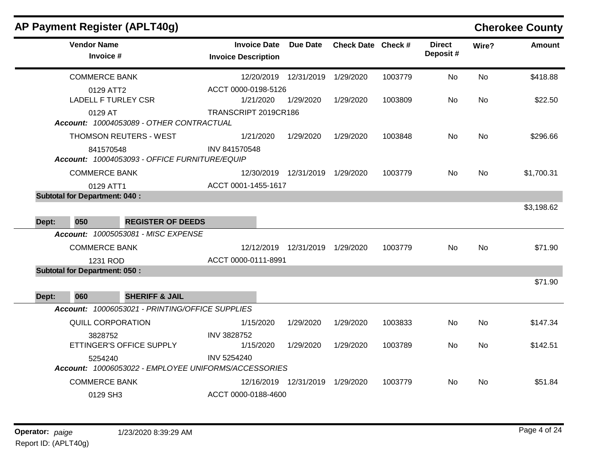|       |                                         | AP Payment Register (APLT40g)                                   |                                                   |                                   |                    |         |                           |           | <b>Cherokee County</b> |
|-------|-----------------------------------------|-----------------------------------------------------------------|---------------------------------------------------|-----------------------------------|--------------------|---------|---------------------------|-----------|------------------------|
|       | <b>Vendor Name</b><br>Invoice #         |                                                                 | <b>Invoice Date</b><br><b>Invoice Description</b> | Due Date                          | Check Date Check # |         | <b>Direct</b><br>Deposit# | Wire?     | <b>Amount</b>          |
|       | <b>COMMERCE BANK</b>                    |                                                                 |                                                   | 12/20/2019 12/31/2019             | 1/29/2020          | 1003779 | No                        | <b>No</b> | \$418.88               |
|       | 0129 ATT2<br><b>LADELL F TURLEY CSR</b> |                                                                 | ACCT 0000-0198-5126<br>1/21/2020                  | 1/29/2020                         | 1/29/2020          | 1003809 | No.                       | No        | \$22.50                |
|       | 0129 AT                                 | Account: 10004053089 - OTHER CONTRACTUAL                        | TRANSCRIPT 2019CR186                              |                                   |                    |         |                           |           |                        |
|       |                                         | <b>THOMSON REUTERS - WEST</b>                                   | 1/21/2020                                         | 1/29/2020                         | 1/29/2020          | 1003848 | No                        | No        | \$296.66               |
|       | 841570548                               | Account: 10004053093 - OFFICE FURNITURE/EQUIP                   | INV 841570548                                     |                                   |                    |         |                           |           |                        |
|       | <b>COMMERCE BANK</b>                    |                                                                 |                                                   | 12/30/2019  12/31/2019  1/29/2020 |                    | 1003779 | No.                       | No        | \$1,700.31             |
|       | 0129 ATT1                               |                                                                 | ACCT 0001-1455-1617                               |                                   |                    |         |                           |           |                        |
|       | <b>Subtotal for Department: 040:</b>    |                                                                 |                                                   |                                   |                    |         |                           |           |                        |
|       |                                         |                                                                 |                                                   |                                   |                    |         |                           |           | \$3,198.62             |
| Dept: | 050                                     | <b>REGISTER OF DEEDS</b><br>Account: 10005053081 - MISC EXPENSE |                                                   |                                   |                    |         |                           |           |                        |
|       | <b>COMMERCE BANK</b>                    |                                                                 |                                                   | 12/12/2019  12/31/2019  1/29/2020 |                    | 1003779 | No                        | No        | \$71.90                |
|       | 1231 ROD                                |                                                                 | ACCT 0000-0111-8991                               |                                   |                    |         |                           |           |                        |
|       | <b>Subtotal for Department: 050:</b>    |                                                                 |                                                   |                                   |                    |         |                           |           |                        |
|       |                                         |                                                                 |                                                   |                                   |                    |         |                           |           | \$71.90                |
| Dept: | 060                                     | <b>SHERIFF &amp; JAIL</b>                                       |                                                   |                                   |                    |         |                           |           |                        |
|       |                                         | Account: 10006053021 - PRINTING/OFFICE SUPPLIES                 |                                                   |                                   |                    |         |                           |           |                        |
|       | QUILL CORPORATION                       |                                                                 | 1/15/2020                                         | 1/29/2020                         | 1/29/2020          | 1003833 | No.                       | No        | \$147.34               |
|       | 3828752                                 | ETTINGER'S OFFICE SUPPLY                                        | INV 3828752<br>1/15/2020                          | 1/29/2020                         | 1/29/2020          | 1003789 | No                        | No        | \$142.51               |
|       | 5254240                                 | Account: 10006053022 - EMPLOYEE UNIFORMS/ACCESSORIES            | <b>INV 5254240</b>                                |                                   |                    |         |                           |           |                        |
|       | <b>COMMERCE BANK</b>                    |                                                                 |                                                   | 12/16/2019 12/31/2019             | 1/29/2020          | 1003779 | No.                       | No        | \$51.84                |
|       | 0129 SH3                                |                                                                 | ACCT 0000-0188-4600                               |                                   |                    |         |                           |           |                        |

 $\overline{a}$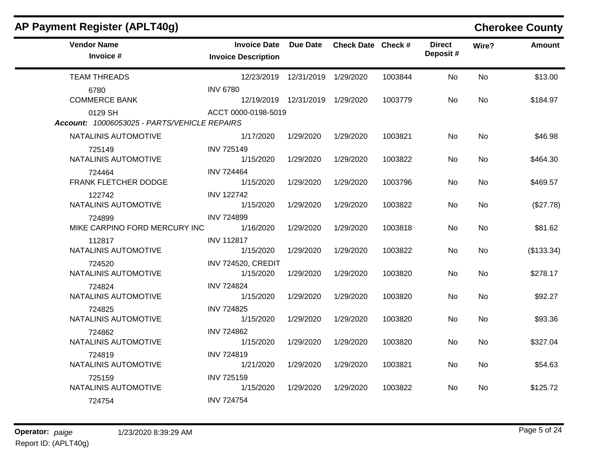| AP Payment Register (APLT40g)                           |                                                   |                                   |                    |         |                           |           | <b>Cherokee County</b> |
|---------------------------------------------------------|---------------------------------------------------|-----------------------------------|--------------------|---------|---------------------------|-----------|------------------------|
| <b>Vendor Name</b><br>Invoice #                         | <b>Invoice Date</b><br><b>Invoice Description</b> | <b>Due Date</b>                   | Check Date Check # |         | <b>Direct</b><br>Deposit# | Wire?     | <b>Amount</b>          |
| <b>TEAM THREADS</b>                                     |                                                   | 12/23/2019  12/31/2019  1/29/2020 |                    | 1003844 | No                        | <b>No</b> | \$13.00                |
| 6780<br><b>COMMERCE BANK</b>                            | <b>INV 6780</b>                                   | 12/19/2019  12/31/2019  1/29/2020 |                    | 1003779 | No.                       | <b>No</b> | \$184.97               |
| 0129 SH<br>Account: 10006053025 - PARTS/VEHICLE REPAIRS | ACCT 0000-0198-5019                               |                                   |                    |         |                           |           |                        |
| NATALINIS AUTOMOTIVE                                    | 1/17/2020                                         | 1/29/2020                         | 1/29/2020          | 1003821 | No                        | No        | \$46.98                |
| 725149<br>NATALINIS AUTOMOTIVE                          | <b>INV 725149</b><br>1/15/2020                    | 1/29/2020                         | 1/29/2020          | 1003822 | No.                       | No        | \$464.30               |
| 724464<br>FRANK FLETCHER DODGE                          | <b>INV 724464</b><br>1/15/2020                    | 1/29/2020                         | 1/29/2020          | 1003796 | No.                       | <b>No</b> | \$469.57               |
| 122742<br>NATALINIS AUTOMOTIVE                          | <b>INV 122742</b><br>1/15/2020                    | 1/29/2020                         | 1/29/2020          | 1003822 | No                        | No        | (\$27.78)              |
| 724899<br>MIKE CARPINO FORD MERCURY INC                 | <b>INV 724899</b><br>1/16/2020                    | 1/29/2020                         | 1/29/2020          | 1003818 | No                        | No        | \$81.62                |
| 112817<br>NATALINIS AUTOMOTIVE                          | <b>INV 112817</b><br>1/15/2020                    | 1/29/2020                         | 1/29/2020          | 1003822 | No                        | No        | (\$133.34)             |
| 724520<br>NATALINIS AUTOMOTIVE                          | <b>INV 724520, CREDIT</b><br>1/15/2020            | 1/29/2020                         | 1/29/2020          | 1003820 | No                        | <b>No</b> | \$278.17               |
| 724824<br>NATALINIS AUTOMOTIVE                          | <b>INV 724824</b><br>1/15/2020                    | 1/29/2020                         | 1/29/2020          | 1003820 | No.                       | <b>No</b> | \$92.27                |
| 724825<br>NATALINIS AUTOMOTIVE                          | <b>INV 724825</b><br>1/15/2020                    | 1/29/2020                         | 1/29/2020          | 1003820 | No.                       | <b>No</b> | \$93.36                |
| 724862<br>NATALINIS AUTOMOTIVE                          | <b>INV 724862</b><br>1/15/2020                    | 1/29/2020                         | 1/29/2020          | 1003820 | No.                       | <b>No</b> | \$327.04               |
| 724819<br>NATALINIS AUTOMOTIVE                          | <b>INV 724819</b><br>1/21/2020                    | 1/29/2020                         | 1/29/2020          | 1003821 | No.                       | <b>No</b> | \$54.63                |
| 725159<br>NATALINIS AUTOMOTIVE                          | <b>INV 725159</b><br>1/15/2020                    | 1/29/2020                         | 1/29/2020          | 1003822 | No                        | No        | \$125.72               |
| 724754                                                  | <b>INV 724754</b>                                 |                                   |                    |         |                           |           |                        |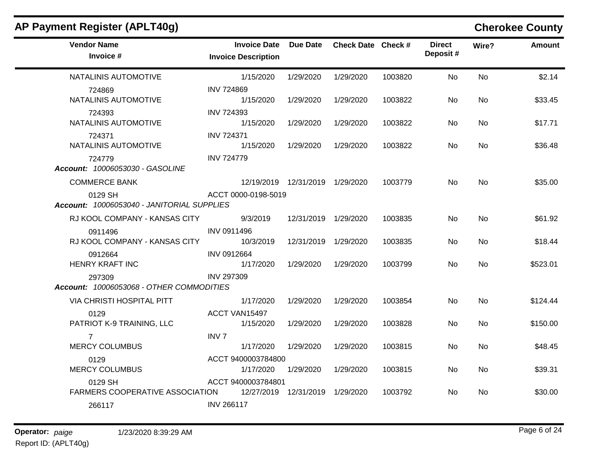| AP Payment Register (APLT40g)                         |                                                   |                                   |                    |         |                           |       | <b>Cherokee County</b> |
|-------------------------------------------------------|---------------------------------------------------|-----------------------------------|--------------------|---------|---------------------------|-------|------------------------|
| <b>Vendor Name</b><br>Invoice #                       | <b>Invoice Date</b><br><b>Invoice Description</b> | Due Date                          | Check Date Check # |         | <b>Direct</b><br>Deposit# | Wire? | <b>Amount</b>          |
| NATALINIS AUTOMOTIVE                                  | 1/15/2020                                         | 1/29/2020                         | 1/29/2020          | 1003820 | No                        | No    | \$2.14                 |
| 724869<br>NATALINIS AUTOMOTIVE                        | <b>INV 724869</b><br>1/15/2020                    | 1/29/2020                         | 1/29/2020          | 1003822 | No                        | No    | \$33.45                |
| 724393<br>NATALINIS AUTOMOTIVE                        | <b>INV 724393</b><br>1/15/2020                    | 1/29/2020                         | 1/29/2020          | 1003822 | No.                       | No.   | \$17.71                |
| 724371<br>NATALINIS AUTOMOTIVE                        | <b>INV 724371</b><br>1/15/2020                    | 1/29/2020                         | 1/29/2020          | 1003822 | No.                       | No.   | \$36.48                |
| 724779<br>Account: 10006053030 - GASOLINE             | <b>INV 724779</b>                                 |                                   |                    |         |                           |       |                        |
| <b>COMMERCE BANK</b>                                  |                                                   | 12/19/2019  12/31/2019  1/29/2020 |                    | 1003779 | No.                       | No    | \$35.00                |
| 0129 SH<br>Account: 10006053040 - JANITORIAL SUPPLIES | ACCT 0000-0198-5019                               |                                   |                    |         |                           |       |                        |
| RJ KOOL COMPANY - KANSAS CITY                         | 9/3/2019                                          | 12/31/2019 1/29/2020              |                    | 1003835 | No.                       | No    | \$61.92                |
| 0911496<br>RJ KOOL COMPANY - KANSAS CITY              | INV 0911496<br>10/3/2019                          | 12/31/2019                        | 1/29/2020          | 1003835 | No                        | No    | \$18.44                |
| 0912664<br><b>HENRY KRAFT INC</b>                     | <b>INV 0912664</b><br>1/17/2020                   | 1/29/2020                         | 1/29/2020          | 1003799 | No                        | No    | \$523.01               |
| 297309<br>Account: 10006053068 - OTHER COMMODITIES    | <b>INV 297309</b>                                 |                                   |                    |         |                           |       |                        |
| VIA CHRISTI HOSPITAL PITT                             | 1/17/2020                                         | 1/29/2020                         | 1/29/2020          | 1003854 | No.                       | No    | \$124.44               |
| 0129<br>PATRIOT K-9 TRAINING, LLC                     | ACCT VAN15497<br>1/15/2020                        | 1/29/2020                         | 1/29/2020          | 1003828 | No                        | No    | \$150.00               |
| $\overline{7}$<br><b>MERCY COLUMBUS</b>               | <b>INV7</b><br>1/17/2020                          | 1/29/2020                         | 1/29/2020          | 1003815 | No                        | No    | \$48.45                |
| 0129<br><b>MERCY COLUMBUS</b>                         | ACCT 9400003784800<br>1/17/2020                   | 1/29/2020                         | 1/29/2020          | 1003815 | No                        | No    | \$39.31                |
| 0129 SH<br>FARMERS COOPERATIVE ASSOCIATION            | ACCT 9400003784801                                | 12/27/2019  12/31/2019  1/29/2020 |                    | 1003792 | No                        | No.   | \$30.00                |
| 266117                                                | <b>INV 266117</b>                                 |                                   |                    |         |                           |       |                        |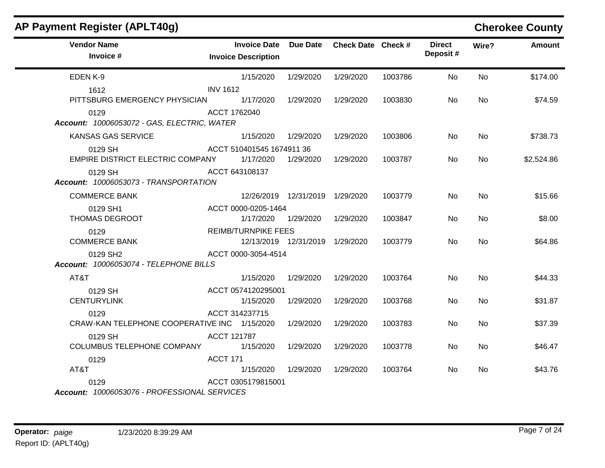| AP Payment Register (APLT40g)                        |                                                   |                                   |                    |         |                           |           | <b>Cherokee County</b> |
|------------------------------------------------------|---------------------------------------------------|-----------------------------------|--------------------|---------|---------------------------|-----------|------------------------|
| <b>Vendor Name</b><br>Invoice #                      | <b>Invoice Date</b><br><b>Invoice Description</b> | <b>Due Date</b>                   | Check Date Check # |         | <b>Direct</b><br>Deposit# | Wire?     | <b>Amount</b>          |
| EDEN K-9                                             | 1/15/2020                                         | 1/29/2020                         | 1/29/2020          | 1003786 | No                        | No.       | \$174.00               |
| 1612                                                 | <b>INV 1612</b>                                   |                                   |                    |         |                           |           |                        |
| PITTSBURG EMERGENCY PHYSICIAN                        | 1/17/2020                                         | 1/29/2020                         | 1/29/2020          | 1003830 | No.                       | No.       | \$74.59                |
| 0129<br>Account: 10006053072 - GAS, ELECTRIC, WATER  | ACCT 1762040                                      |                                   |                    |         |                           |           |                        |
| KANSAS GAS SERVICE                                   | 1/15/2020                                         | 1/29/2020                         | 1/29/2020          | 1003806 | No.                       | <b>No</b> | \$738.73               |
| 0129 SH                                              | ACCT 510401545 1674911 36                         |                                   |                    |         |                           |           |                        |
| EMPIRE DISTRICT ELECTRIC COMPANY                     | 1/17/2020                                         | 1/29/2020                         | 1/29/2020          | 1003787 | No.                       | No        | \$2,524.86             |
| 0129 SH<br>Account: 10006053073 - TRANSPORTATION     | ACCT 643108137                                    |                                   |                    |         |                           |           |                        |
| <b>COMMERCE BANK</b>                                 |                                                   | 12/26/2019 12/31/2019 1/29/2020   |                    | 1003779 | No.                       | <b>No</b> | \$15.66                |
| 0129 SH1                                             | ACCT 0000-0205-1464                               |                                   |                    |         |                           |           |                        |
| THOMAS DEGROOT                                       | 1/17/2020                                         | 1/29/2020                         | 1/29/2020          | 1003847 | No.                       | <b>No</b> | \$8.00                 |
| 0129                                                 | <b>REIMB/TURNPIKE FEES</b>                        |                                   |                    |         |                           |           |                        |
| <b>COMMERCE BANK</b>                                 |                                                   | 12/13/2019  12/31/2019  1/29/2020 |                    | 1003779 | No.                       | No.       | \$64.86                |
| 0129 SH2<br>Account: 10006053074 - TELEPHONE BILLS   | ACCT 0000-3054-4514                               |                                   |                    |         |                           |           |                        |
| AT&T                                                 | 1/15/2020                                         | 1/29/2020                         | 1/29/2020          | 1003764 | <b>No</b>                 | <b>No</b> | \$44.33                |
| 0129 SH                                              | ACCT 0574120295001                                |                                   |                    |         |                           |           |                        |
| <b>CENTURYLINK</b>                                   | 1/15/2020                                         | 1/29/2020                         | 1/29/2020          | 1003768 | No.                       | <b>No</b> | \$31.87                |
| 0129                                                 | ACCT 314237715                                    |                                   |                    |         |                           |           |                        |
| CRAW-KAN TELEPHONE COOPERATIVE INC 1/15/2020         |                                                   | 1/29/2020                         | 1/29/2020          | 1003783 | <b>No</b>                 | No.       | \$37.39                |
| 0129 SH                                              | ACCT 121787                                       |                                   |                    |         |                           |           |                        |
| COLUMBUS TELEPHONE COMPANY                           | 1/15/2020                                         | 1/29/2020                         | 1/29/2020          | 1003778 | No.                       | No.       | \$46.47                |
| 0129                                                 | <b>ACCT 171</b>                                   |                                   |                    |         |                           |           |                        |
| AT&T                                                 | 1/15/2020                                         | 1/29/2020                         | 1/29/2020          | 1003764 | No.                       | No.       | \$43.76                |
| 0129<br>Account: 10006053076 - PROFESSIONAL SERVICES | ACCT 0305179815001                                |                                   |                    |         |                           |           |                        |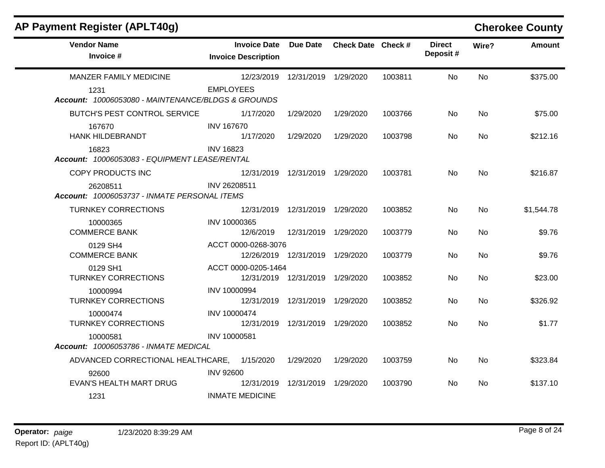| <b>AP Payment Register (APLT40g)</b>                       |                                                   |                                   |                    |         |                           |           | <b>Cherokee County</b> |
|------------------------------------------------------------|---------------------------------------------------|-----------------------------------|--------------------|---------|---------------------------|-----------|------------------------|
| <b>Vendor Name</b><br>Invoice #                            | <b>Invoice Date</b><br><b>Invoice Description</b> | <b>Due Date</b>                   | Check Date Check # |         | <b>Direct</b><br>Deposit# | Wire?     | <b>Amount</b>          |
| <b>MANZER FAMILY MEDICINE</b>                              |                                                   | 12/23/2019  12/31/2019  1/29/2020 |                    | 1003811 | No                        | No        | \$375.00               |
| 1231<br>Account: 10006053080 - MAINTENANCE/BLDGS & GROUNDS | <b>EMPLOYEES</b>                                  |                                   |                    |         |                           |           |                        |
| <b>BUTCH'S PEST CONTROL SERVICE</b>                        | 1/17/2020                                         | 1/29/2020                         | 1/29/2020          | 1003766 | No.                       | No.       | \$75.00                |
| 167670<br>HANK HILDEBRANDT                                 | <b>INV 167670</b><br>1/17/2020                    | 1/29/2020                         | 1/29/2020          | 1003798 | No.                       | No.       | \$212.16               |
| 16823<br>Account: 10006053083 - EQUIPMENT LEASE/RENTAL     | <b>INV 16823</b>                                  |                                   |                    |         |                           |           |                        |
| COPY PRODUCTS INC                                          |                                                   | 12/31/2019 12/31/2019 1/29/2020   |                    | 1003781 | No                        | <b>No</b> | \$216.87               |
| 26208511<br>Account: 10006053737 - INMATE PERSONAL ITEMS   | INV 26208511                                      |                                   |                    |         |                           |           |                        |
| <b>TURNKEY CORRECTIONS</b>                                 | 12/31/2019                                        | 12/31/2019 1/29/2020              |                    | 1003852 | No.                       | No        | \$1,544.78             |
| 10000365<br><b>COMMERCE BANK</b>                           | INV 10000365<br>12/6/2019                         | 12/31/2019 1/29/2020              |                    | 1003779 | No.                       | No.       | \$9.76                 |
| 0129 SH4<br><b>COMMERCE BANK</b>                           | ACCT 0000-0268-3076                               | 12/26/2019  12/31/2019  1/29/2020 |                    | 1003779 | No.                       | No        | \$9.76                 |
| 0129 SH1<br><b>TURNKEY CORRECTIONS</b>                     | ACCT 0000-0205-1464                               | 12/31/2019  12/31/2019  1/29/2020 |                    | 1003852 | No.                       | <b>No</b> | \$23.00                |
| 10000994<br><b>TURNKEY CORRECTIONS</b>                     | INV 10000994                                      | 12/31/2019 12/31/2019             | 1/29/2020          | 1003852 | No.                       | No.       | \$326.92               |
| 10000474<br><b>TURNKEY CORRECTIONS</b>                     | <b>INV 10000474</b>                               | 12/31/2019  12/31/2019  1/29/2020 |                    | 1003852 | No.                       | No.       | \$1.77                 |
| 10000581<br><b>Account: 10006053786 - INMATE MEDICAL</b>   | INV 10000581                                      |                                   |                    |         |                           |           |                        |
| ADVANCED CORRECTIONAL HEALTHCARE, 1/15/2020                |                                                   | 1/29/2020                         | 1/29/2020          | 1003759 | No                        | <b>No</b> | \$323.84               |
| 92600<br><b>EVAN'S HEALTH MART DRUG</b>                    | <b>INV 92600</b><br>12/31/2019                    | 12/31/2019 1/29/2020              |                    | 1003790 | No.                       | No.       | \$137.10               |
| 1231                                                       | <b>INMATE MEDICINE</b>                            |                                   |                    |         |                           |           |                        |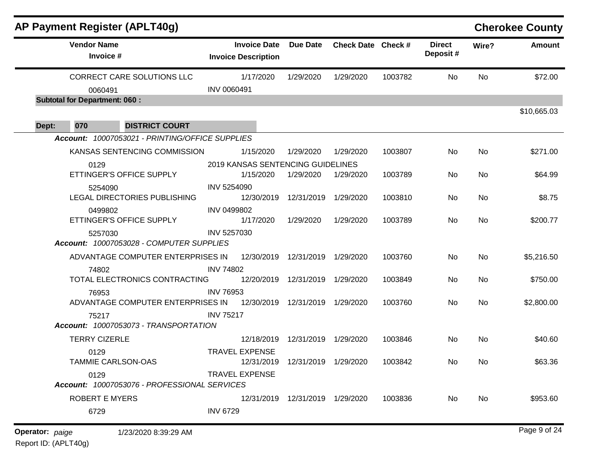|       | AP Payment Register (APLT40g)                        |                                                   |                                   |                    |         |                           |       | <b>Cherokee County</b> |
|-------|------------------------------------------------------|---------------------------------------------------|-----------------------------------|--------------------|---------|---------------------------|-------|------------------------|
|       | <b>Vendor Name</b><br>Invoice #                      | <b>Invoice Date</b><br><b>Invoice Description</b> | <b>Due Date</b>                   | Check Date Check # |         | <b>Direct</b><br>Deposit# | Wire? | <b>Amount</b>          |
|       | CORRECT CARE SOLUTIONS LLC                           | 1/17/2020                                         | 1/29/2020                         | 1/29/2020          | 1003782 | No.                       | No    | \$72.00                |
|       | 0060491                                              | INV 0060491                                       |                                   |                    |         |                           |       |                        |
|       | <b>Subtotal for Department: 060:</b>                 |                                                   |                                   |                    |         |                           |       |                        |
|       |                                                      |                                                   |                                   |                    |         |                           |       | \$10,665.03            |
| Dept: | 070<br><b>DISTRICT COURT</b>                         |                                                   |                                   |                    |         |                           |       |                        |
|       | Account: 10007053021 - PRINTING/OFFICE SUPPLIES      |                                                   |                                   |                    |         |                           |       |                        |
|       | KANSAS SENTENCING COMMISSION                         | 1/15/2020                                         | 1/29/2020                         | 1/29/2020          | 1003807 | No                        | No    | \$271.00               |
|       | 0129                                                 | 2019 KANSAS SENTENCING GUIDELINES                 |                                   |                    |         |                           |       |                        |
|       | ETTINGER'S OFFICE SUPPLY                             | 1/15/2020                                         | 1/29/2020                         | 1/29/2020          | 1003789 | No                        | No    | \$64.99                |
|       | 5254090<br><b>LEGAL DIRECTORIES PUBLISHING</b>       | INV 5254090<br>12/30/2019                         | 12/31/2019 1/29/2020              |                    | 1003810 | No                        | No    | \$8.75                 |
|       | 0499802                                              | INV 0499802                                       |                                   |                    |         |                           |       |                        |
|       | ETTINGER'S OFFICE SUPPLY                             | 1/17/2020                                         | 1/29/2020                         | 1/29/2020          | 1003789 | No                        | No    | \$200.77               |
|       | 5257030                                              | INV 5257030                                       |                                   |                    |         |                           |       |                        |
|       | Account: 10007053028 - COMPUTER SUPPLIES             |                                                   |                                   |                    |         |                           |       |                        |
|       | ADVANTAGE COMPUTER ENTERPRISES IN                    | 12/30/2019 12/31/2019 1/29/2020                   |                                   |                    | 1003760 | No                        | No    | \$5,216.50             |
|       | 74802                                                | <b>INV 74802</b>                                  |                                   |                    |         |                           |       |                        |
|       | TOTAL ELECTRONICS CONTRACTING                        |                                                   | 12/20/2019  12/31/2019  1/29/2020 |                    | 1003849 | <b>No</b>                 | No    | \$750.00               |
|       | 76953                                                | <b>INV 76953</b>                                  |                                   |                    |         |                           |       |                        |
|       | ADVANTAGE COMPUTER ENTERPRISES IN                    | 12/30/2019 12/31/2019 1/29/2020                   |                                   |                    | 1003760 | No.                       | No    | \$2,800.00             |
|       | 75217                                                | <b>INV 75217</b>                                  |                                   |                    |         |                           |       |                        |
|       | Account: 10007053073 - TRANSPORTATION                |                                                   |                                   |                    |         |                           |       |                        |
|       | <b>TERRY CIZERLE</b>                                 | 12/18/2019                                        | 12/31/2019 1/29/2020              |                    | 1003846 | No                        | No    | \$40.60                |
|       | 0129                                                 | <b>TRAVEL EXPENSE</b>                             |                                   |                    |         |                           |       |                        |
|       | <b>TAMMIE CARLSON-OAS</b>                            | 12/31/2019                                        | 12/31/2019                        | 1/29/2020          | 1003842 | No.                       | No.   | \$63.36                |
|       | 0129<br>Account: 10007053076 - PROFESSIONAL SERVICES | <b>TRAVEL EXPENSE</b>                             |                                   |                    |         |                           |       |                        |
|       | <b>ROBERT E MYERS</b>                                |                                                   | 12/31/2019  12/31/2019  1/29/2020 |                    | 1003836 | No                        | No    | \$953.60               |
|       | 6729                                                 | <b>INV 6729</b>                                   |                                   |                    |         |                           |       |                        |
|       |                                                      |                                                   |                                   |                    |         |                           |       |                        |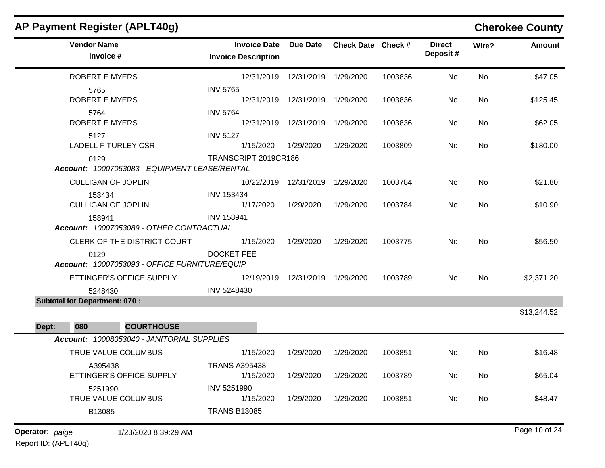|                 |                                      | AP Payment Register (APLT40g)                 |                                                   |                                   |                    |         |                           |           | <b>Cherokee County</b> |
|-----------------|--------------------------------------|-----------------------------------------------|---------------------------------------------------|-----------------------------------|--------------------|---------|---------------------------|-----------|------------------------|
|                 | <b>Vendor Name</b>                   | Invoice #                                     | <b>Invoice Date</b><br><b>Invoice Description</b> | <b>Due Date</b>                   | Check Date Check # |         | <b>Direct</b><br>Deposit# | Wire?     | <b>Amount</b>          |
|                 |                                      | <b>ROBERT E MYERS</b>                         |                                                   | 12/31/2019  12/31/2019  1/29/2020 |                    | 1003836 | No                        | No        | \$47.05                |
|                 | 5765                                 | <b>ROBERT E MYERS</b>                         | <b>INV 5765</b>                                   | 12/31/2019  12/31/2019  1/29/2020 |                    | 1003836 | No                        | No        | \$125.45               |
|                 | 5764                                 | <b>ROBERT E MYERS</b>                         | <b>INV 5764</b>                                   | 12/31/2019 12/31/2019             | 1/29/2020          | 1003836 | No                        | No        | \$62.05                |
|                 | 5127                                 | <b>LADELL F TURLEY CSR</b>                    | <b>INV 5127</b><br>1/15/2020                      | 1/29/2020                         | 1/29/2020          | 1003809 | No.                       | No        | \$180.00               |
|                 | 0129                                 | Account: 10007053083 - EQUIPMENT LEASE/RENTAL | TRANSCRIPT 2019CR186                              |                                   |                    |         |                           |           |                        |
|                 |                                      | <b>CULLIGAN OF JOPLIN</b>                     | 10/22/2019                                        | 12/31/2019 1/29/2020              |                    | 1003784 | No.                       | No        | \$21.80                |
|                 | 153434                               | <b>CULLIGAN OF JOPLIN</b>                     | <b>INV 153434</b><br>1/17/2020                    | 1/29/2020                         | 1/29/2020          | 1003784 | No                        | No        | \$10.90                |
|                 | 158941                               | Account: 10007053089 - OTHER CONTRACTUAL      | <b>INV 158941</b>                                 |                                   |                    |         |                           |           |                        |
|                 |                                      | CLERK OF THE DISTRICT COURT                   | 1/15/2020                                         | 1/29/2020                         | 1/29/2020          | 1003775 | No                        | <b>No</b> | \$56.50                |
|                 | 0129                                 | Account: 10007053093 - OFFICE FURNITURE/EQUIP | <b>DOCKET FEE</b>                                 |                                   |                    |         |                           |           |                        |
|                 |                                      | ETTINGER'S OFFICE SUPPLY                      | 12/19/2019                                        | 12/31/2019 1/29/2020              |                    | 1003789 | No                        | No        | \$2,371.20             |
|                 | 5248430                              |                                               | INV 5248430                                       |                                   |                    |         |                           |           |                        |
|                 | <b>Subtotal for Department: 070:</b> |                                               |                                                   |                                   |                    |         |                           |           | \$13,244.52            |
| Dept:           | 080                                  | <b>COURTHOUSE</b>                             |                                                   |                                   |                    |         |                           |           |                        |
|                 |                                      | Account: 10008053040 - JANITORIAL SUPPLIES    |                                                   |                                   |                    |         |                           |           |                        |
|                 |                                      | TRUE VALUE COLUMBUS                           | 1/15/2020                                         | 1/29/2020                         | 1/29/2020          | 1003851 | No                        | No        | \$16.48                |
|                 |                                      | A395438<br>ETTINGER'S OFFICE SUPPLY           | <b>TRANS A395438</b><br>1/15/2020                 | 1/29/2020                         | 1/29/2020          | 1003789 | No                        | No        | \$65.04                |
|                 | 5251990                              |                                               | INV 5251990                                       |                                   |                    |         |                           |           |                        |
|                 |                                      | TRUE VALUE COLUMBUS                           | 1/15/2020<br><b>TRANS B13085</b>                  | 1/29/2020                         | 1/29/2020          | 1003851 | No                        | No        | \$48.47                |
|                 | B13085                               |                                               |                                                   |                                   |                    |         |                           |           |                        |
| Operator: paige |                                      | 1/23/2020 8:39:29 AM                          |                                                   |                                   |                    |         |                           |           | Page 10 of 24          |

Report ID: (APLT40g)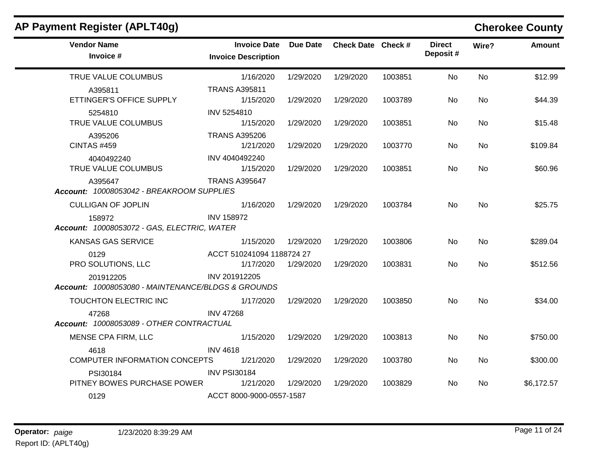| $A$ , rayment negister $A$ , created                            |                                                   |                 |                    |         |                           |           | <b>OTERNEE COMITY</b> |
|-----------------------------------------------------------------|---------------------------------------------------|-----------------|--------------------|---------|---------------------------|-----------|-----------------------|
| <b>Vendor Name</b><br>Invoice #                                 | <b>Invoice Date</b><br><b>Invoice Description</b> | <b>Due Date</b> | Check Date Check # |         | <b>Direct</b><br>Deposit# | Wire?     | <b>Amount</b>         |
| TRUE VALUE COLUMBUS                                             | 1/16/2020                                         | 1/29/2020       | 1/29/2020          | 1003851 | <b>No</b>                 | <b>No</b> | \$12.99               |
| A395811<br>ETTINGER'S OFFICE SUPPLY                             | <b>TRANS A395811</b><br>1/15/2020                 | 1/29/2020       | 1/29/2020          | 1003789 | No                        | <b>No</b> | \$44.39               |
| 5254810<br>TRUE VALUE COLUMBUS                                  | INV 5254810<br>1/15/2020                          | 1/29/2020       | 1/29/2020          | 1003851 | No                        | <b>No</b> | \$15.48               |
| A395206<br><b>CINTAS #459</b>                                   | <b>TRANS A395206</b><br>1/21/2020                 | 1/29/2020       | 1/29/2020          | 1003770 | No.                       | No.       | \$109.84              |
| 4040492240<br>TRUE VALUE COLUMBUS                               | INV 4040492240<br>1/15/2020                       | 1/29/2020       | 1/29/2020          | 1003851 | No.                       | <b>No</b> | \$60.96               |
| A395647<br>Account: 10008053042 - BREAKROOM SUPPLIES            | <b>TRANS A395647</b>                              |                 |                    |         |                           |           |                       |
| <b>CULLIGAN OF JOPLIN</b>                                       | 1/16/2020                                         | 1/29/2020       | 1/29/2020          | 1003784 | No.                       | <b>No</b> | \$25.75               |
| 158972<br>Account: 10008053072 - GAS, ELECTRIC, WATER           | <b>INV 158972</b>                                 |                 |                    |         |                           |           |                       |
| <b>KANSAS GAS SERVICE</b>                                       | 1/15/2020                                         | 1/29/2020       | 1/29/2020          | 1003806 | No                        | <b>No</b> | \$289.04              |
| 0129<br>PRO SOLUTIONS, LLC                                      | ACCT 510241094 1188724 27<br>1/17/2020            | 1/29/2020       | 1/29/2020          | 1003831 | No.                       | <b>No</b> | \$512.56              |
| 201912205<br>Account: 10008053080 - MAINTENANCE/BLDGS & GROUNDS | INV 201912205                                     |                 |                    |         |                           |           |                       |
| TOUCHTON ELECTRIC INC                                           | 1/17/2020                                         | 1/29/2020       | 1/29/2020          | 1003850 | <b>No</b>                 | <b>No</b> | \$34.00               |
| 47268<br>Account: 10008053089 - OTHER CONTRACTUAL               | <b>INV 47268</b>                                  |                 |                    |         |                           |           |                       |
| MENSE CPA FIRM, LLC                                             | 1/15/2020                                         | 1/29/2020       | 1/29/2020          | 1003813 | No                        | No        | \$750.00              |
| 4618<br>COMPUTER INFORMATION CONCEPTS                           | <b>INV 4618</b><br>1/21/2020                      | 1/29/2020       | 1/29/2020          | 1003780 | No                        | <b>No</b> | \$300.00              |
| PSI30184<br>PITNEY BOWES PURCHASE POWER                         | <b>INV PSI30184</b><br>1/21/2020                  | 1/29/2020       | 1/29/2020          | 1003829 | No.                       | <b>No</b> | \$6,172.57            |
| 0129                                                            | ACCT 8000-9000-0557-1587                          |                 |                    |         |                           |           |                       |

# **AP Payment Register (APLT40g) Cherokee County**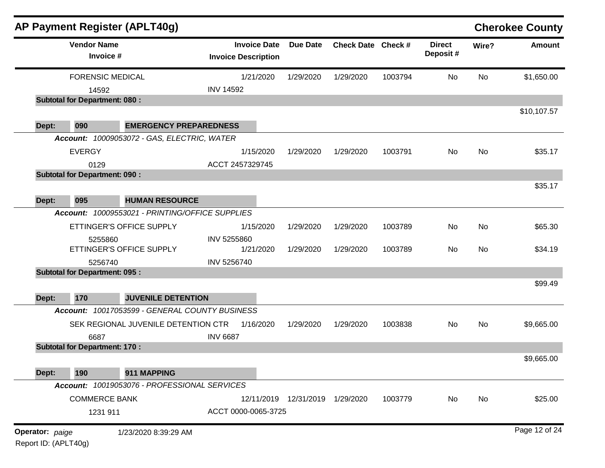|       | <b>Vendor Name</b>                   |                                                 | <b>Invoice Date</b>        | <b>Due Date</b>                   | Check Date Check # |         | <b>Direct</b> | Wire?     | <b>Amount</b> |
|-------|--------------------------------------|-------------------------------------------------|----------------------------|-----------------------------------|--------------------|---------|---------------|-----------|---------------|
|       | Invoice #                            |                                                 | <b>Invoice Description</b> |                                   |                    |         | Deposit#      |           |               |
|       | <b>FORENSIC MEDICAL</b>              |                                                 | 1/21/2020                  | 1/29/2020                         | 1/29/2020          | 1003794 | No            | <b>No</b> | \$1,650.00    |
|       | 14592                                |                                                 | <b>INV 14592</b>           |                                   |                    |         |               |           |               |
|       | <b>Subtotal for Department: 080:</b> |                                                 |                            |                                   |                    |         |               |           |               |
|       |                                      |                                                 |                            |                                   |                    |         |               |           | \$10,107.57   |
| Dept: | 090                                  | <b>EMERGENCY PREPAREDNESS</b>                   |                            |                                   |                    |         |               |           |               |
|       |                                      | Account: 10009053072 - GAS, ELECTRIC, WATER     |                            |                                   |                    |         |               |           |               |
|       | <b>EVERGY</b>                        |                                                 | 1/15/2020                  | 1/29/2020                         | 1/29/2020          | 1003791 | No            | <b>No</b> | \$35.17       |
|       | 0129                                 |                                                 | ACCT 2457329745            |                                   |                    |         |               |           |               |
|       | <b>Subtotal for Department: 090:</b> |                                                 |                            |                                   |                    |         |               |           |               |
|       |                                      |                                                 |                            |                                   |                    |         |               |           | \$35.17       |
| Dept: | 095                                  | <b>HUMAN RESOURCE</b>                           |                            |                                   |                    |         |               |           |               |
|       |                                      | Account: 10009553021 - PRINTING/OFFICE SUPPLIES |                            |                                   |                    |         |               |           |               |
|       |                                      | ETTINGER'S OFFICE SUPPLY                        | 1/15/2020                  | 1/29/2020                         | 1/29/2020          | 1003789 | No            | No        | \$65.30       |
|       | 5255860                              |                                                 | INV 5255860                |                                   |                    |         |               |           |               |
|       |                                      | ETTINGER'S OFFICE SUPPLY                        | 1/21/2020                  | 1/29/2020                         | 1/29/2020          | 1003789 | No            | No        | \$34.19       |
|       | 5256740                              |                                                 | INV 5256740                |                                   |                    |         |               |           |               |
|       | <b>Subtotal for Department: 095:</b> |                                                 |                            |                                   |                    |         |               |           |               |
|       |                                      |                                                 |                            |                                   |                    |         |               |           | \$99.49       |
| Dept: | 170                                  | <b>JUVENILE DETENTION</b>                       |                            |                                   |                    |         |               |           |               |
|       |                                      | Account: 10017053599 - GENERAL COUNTY BUSINESS  |                            |                                   |                    |         |               |           |               |
|       |                                      | SEK REGIONAL JUVENILE DETENTION CTR             | 1/16/2020                  | 1/29/2020                         | 1/29/2020          | 1003838 | No            | <b>No</b> | \$9,665.00    |
|       | 6687                                 |                                                 | <b>INV 6687</b>            |                                   |                    |         |               |           |               |
|       | <b>Subtotal for Department: 170:</b> |                                                 |                            |                                   |                    |         |               |           |               |
|       |                                      |                                                 |                            |                                   |                    |         |               |           | \$9,665.00    |
| Dept: | 190                                  | 911 MAPPING                                     |                            |                                   |                    |         |               |           |               |
|       |                                      | Account: 10019053076 - PROFESSIONAL SERVICES    |                            |                                   |                    |         |               |           |               |
|       | <b>COMMERCE BANK</b>                 |                                                 |                            | 12/11/2019  12/31/2019  1/29/2020 |                    | 1003779 | No            | No        | \$25.00       |
|       | 1231 911                             |                                                 | ACCT 0000-0065-3725        |                                   |                    |         |               |           |               |
|       |                                      |                                                 |                            |                                   |                    |         |               |           |               |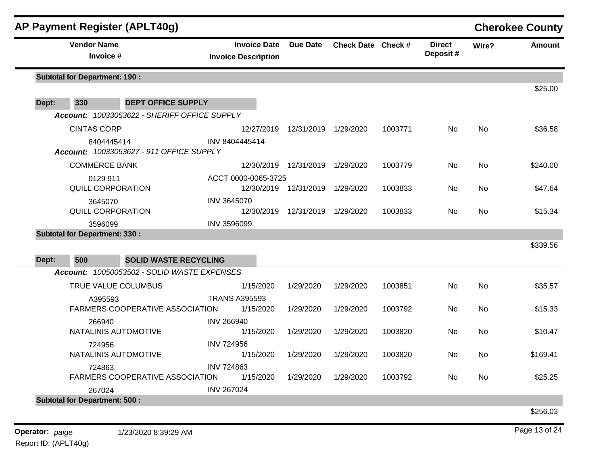|                          |                                      | AP Payment Register (APLT40g)                |                            |                                   |                                   |                    |         |                           |           | <b>Cherokee County</b> |
|--------------------------|--------------------------------------|----------------------------------------------|----------------------------|-----------------------------------|-----------------------------------|--------------------|---------|---------------------------|-----------|------------------------|
|                          | <b>Vendor Name</b><br>Invoice #      |                                              | <b>Invoice Description</b> | <b>Invoice Date</b>               | Due Date                          | Check Date Check # |         | <b>Direct</b><br>Deposit# | Wire?     | Amount                 |
|                          | <b>Subtotal for Department: 190:</b> |                                              |                            |                                   |                                   |                    |         |                           |           | \$25.00                |
| Dept:                    | 330                                  | <b>DEPT OFFICE SUPPLY</b>                    |                            |                                   |                                   |                    |         |                           |           |                        |
|                          |                                      | Account: 10033053622 - SHERIFF OFFICE SUPPLY |                            |                                   |                                   |                    |         |                           |           |                        |
|                          | <b>CINTAS CORP</b>                   |                                              |                            | 12/27/2019                        | 12/31/2019 1/29/2020              |                    | 1003771 | No                        | No        | \$36.58                |
|                          | 8404445414                           | Account: 10033053627 - 911 OFFICE SUPPLY     | INV 8404445414             |                                   |                                   |                    |         |                           |           |                        |
|                          | <b>COMMERCE BANK</b>                 |                                              |                            |                                   | 12/30/2019  12/31/2019  1/29/2020 |                    | 1003779 | No.                       | <b>No</b> | \$240.00               |
| 0129 911                 |                                      | ACCT 0000-0065-3725                          |                            |                                   |                                   |                    |         |                           |           |                        |
| QUILL CORPORATION        |                                      |                                              |                            | 12/30/2019  12/31/2019  1/29/2020 |                                   | 1003833            | No.     | No.                       | \$47.64   |                        |
| 3645070                  |                                      | INV 3645070                                  |                            |                                   |                                   |                    |         |                           |           |                        |
| <b>QUILL CORPORATION</b> |                                      |                                              | 12/30/2019                 | 12/31/2019 1/29/2020              |                                   | 1003833            | No.     | No.                       | \$15.34   |                        |
|                          | 3596099                              |                                              | <b>INV 3596099</b>         |                                   |                                   |                    |         |                           |           |                        |
|                          | <b>Subtotal for Department: 330:</b> |                                              |                            |                                   |                                   |                    |         |                           |           |                        |
|                          |                                      |                                              |                            |                                   |                                   |                    |         |                           |           | \$339.56               |
| Dept:                    | 500                                  | <b>SOLID WASTE RECYCLING</b>                 |                            |                                   |                                   |                    |         |                           |           |                        |
|                          |                                      | Account: 10050053502 - SOLID WASTE EXPENSES  |                            |                                   |                                   |                    |         |                           |           |                        |
|                          |                                      | TRUE VALUE COLUMBUS                          |                            | 1/15/2020                         | 1/29/2020                         | 1/29/2020          | 1003851 | No.                       | <b>No</b> | \$35.57                |
|                          | A395593                              |                                              | <b>TRANS A395593</b>       |                                   |                                   |                    |         |                           |           |                        |
|                          |                                      | FARMERS COOPERATIVE ASSOCIATION              |                            | 1/15/2020                         | 1/29/2020                         | 1/29/2020          | 1003792 | <b>No</b>                 | <b>No</b> | \$15.33                |
|                          | 266940                               |                                              | <b>INV 266940</b>          |                                   |                                   |                    |         |                           |           |                        |
|                          | NATALINIS AUTOMOTIVE                 |                                              |                            | 1/15/2020                         | 1/29/2020                         | 1/29/2020          | 1003820 | <b>No</b>                 | <b>No</b> | \$10.47                |
|                          | 724956<br>NATALINIS AUTOMOTIVE       |                                              | <b>INV 724956</b>          | 1/15/2020                         | 1/29/2020                         | 1/29/2020          | 1003820 | No.                       | No        | \$169.41               |
|                          |                                      |                                              | <b>INV 724863</b>          |                                   |                                   |                    |         |                           |           |                        |
|                          | 724863                               | FARMERS COOPERATIVE ASSOCIATION              |                            | 1/15/2020                         | 1/29/2020                         | 1/29/2020          | 1003792 | No                        | No        | \$25.25                |
|                          | 267024                               |                                              | <b>INV 267024</b>          |                                   |                                   |                    |         |                           |           |                        |
|                          | <b>Subtotal for Department: 500:</b> |                                              |                            |                                   |                                   |                    |         |                           |           |                        |
|                          |                                      |                                              |                            |                                   |                                   |                    |         |                           |           | \$256.03               |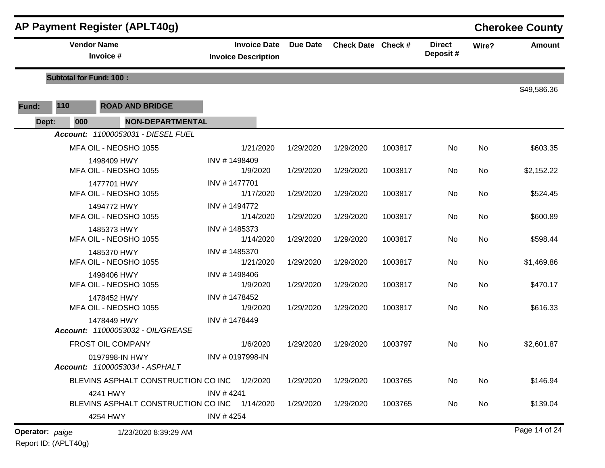|                                    |                                                           | AP Payment Register (APLT40g)                |                                                   |                 |                    |         |                           |           | <b>Cherokee County</b> |
|------------------------------------|-----------------------------------------------------------|----------------------------------------------|---------------------------------------------------|-----------------|--------------------|---------|---------------------------|-----------|------------------------|
|                                    |                                                           | <b>Vendor Name</b><br>Invoice #              | <b>Invoice Date</b><br><b>Invoice Description</b> | <b>Due Date</b> | Check Date Check # |         | <b>Direct</b><br>Deposit# | Wire?     | <b>Amount</b>          |
|                                    | <b>Subtotal for Fund: 100:</b>                            |                                              |                                                   |                 |                    |         |                           |           |                        |
| Fund:                              | 110                                                       | <b>ROAD AND BRIDGE</b>                       |                                                   |                 |                    |         |                           |           | \$49,586.36            |
| Dept:                              | 000                                                       | <b>NON-DEPARTMENTAL</b>                      |                                                   |                 |                    |         |                           |           |                        |
| Account: 11000053031 - DIESEL FUEL |                                                           |                                              |                                                   |                 |                    |         |                           |           |                        |
|                                    |                                                           | MFA OIL - NEOSHO 1055                        | 1/21/2020                                         | 1/29/2020       | 1/29/2020          | 1003817 | No                        | No        | \$603.35               |
|                                    |                                                           | 1498409 HWY<br>MFA OIL - NEOSHO 1055         | INV #1498409<br>1/9/2020                          | 1/29/2020       | 1/29/2020          | 1003817 | No                        | <b>No</b> | \$2,152.22             |
|                                    | 1477701 HWY<br>MFA OIL - NEOSHO 1055                      |                                              | INV #1477701<br>1/17/2020                         | 1/29/2020       | 1/29/2020          | 1003817 | No                        | No        | \$524.45               |
|                                    | 1494772 HWY<br>MFA OIL - NEOSHO 1055                      |                                              | INV #1494772<br>1/14/2020                         | 1/29/2020       | 1/29/2020          | 1003817 | No                        | <b>No</b> | \$600.89               |
|                                    |                                                           | 1485373 HWY<br>MFA OIL - NEOSHO 1055         | INV #1485373<br>1/14/2020                         | 1/29/2020       | 1/29/2020          | 1003817 | No                        | <b>No</b> | \$598.44               |
|                                    |                                                           | 1485370 HWY<br>MFA OIL - NEOSHO 1055         | INV #1485370<br>1/21/2020                         | 1/29/2020       | 1/29/2020          | 1003817 | No                        | <b>No</b> | \$1,469.86             |
|                                    |                                                           | 1498406 HWY<br>MFA OIL - NEOSHO 1055         | INV #1498406<br>1/9/2020                          | 1/29/2020       | 1/29/2020          | 1003817 | No                        | No        | \$470.17               |
|                                    |                                                           | 1478452 HWY<br>MFA OIL - NEOSHO 1055         | INV #1478452<br>1/9/2020                          | 1/29/2020       | 1/29/2020          | 1003817 | No                        | <b>No</b> | \$616.33               |
|                                    | 1478449 HWY<br><b>Account: 11000053032 - OIL/GREASE</b>   |                                              | INV #1478449                                      |                 |                    |         |                           |           |                        |
|                                    |                                                           | <b>FROST OIL COMPANY</b>                     | 1/6/2020                                          | 1/29/2020       | 1/29/2020          | 1003797 | No                        | No        | \$2,601.87             |
|                                    | 0197998-IN HWY<br>Account: 11000053034 - ASPHALT          |                                              | INV # 0197998-IN                                  |                 |                    |         |                           |           |                        |
|                                    |                                                           | BLEVINS ASPHALT CONSTRUCTION CO INC 1/2/2020 |                                                   | 1/29/2020       | 1/29/2020          | 1003765 | No                        | No        | \$146.94               |
|                                    | 4241 HWY<br>BLEVINS ASPHALT CONSTRUCTION CO INC 1/14/2020 |                                              | INV #4241                                         | 1/29/2020       | 1/29/2020          | 1003765 | No                        | No        | \$139.04               |
|                                    |                                                           | 4254 HWY                                     | INV #4254                                         |                 |                    |         |                           |           |                        |
| Operator: paige                    |                                                           | 1/23/2020 8:39:29 AM                         |                                                   |                 |                    |         |                           |           | Page 14 of 24          |

Report ID: (APLT40g)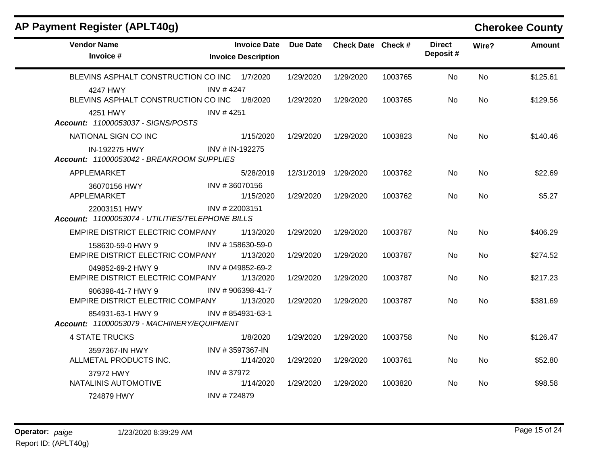| AP Payment Register (APLT40g)                                    |                  |                                                   |                 |                    |         |                           |           | <b>Cherokee County</b> |
|------------------------------------------------------------------|------------------|---------------------------------------------------|-----------------|--------------------|---------|---------------------------|-----------|------------------------|
| <b>Vendor Name</b><br>Invoice #                                  |                  | <b>Invoice Date</b><br><b>Invoice Description</b> | <b>Due Date</b> | Check Date Check # |         | <b>Direct</b><br>Deposit# | Wire?     | <b>Amount</b>          |
| BLEVINS ASPHALT CONSTRUCTION CO INC 1/7/2020                     |                  |                                                   | 1/29/2020       | 1/29/2020          | 1003765 | No                        | <b>No</b> | \$125.61               |
| 4247 HWY<br>BLEVINS ASPHALT CONSTRUCTION CO INC 1/8/2020         | <b>INV #4247</b> |                                                   | 1/29/2020       | 1/29/2020          | 1003765 | No.                       | No.       | \$129.56               |
| 4251 HWY<br>Account: 11000053037 - SIGNS/POSTS                   | INV #4251        |                                                   |                 |                    |         |                           |           |                        |
| NATIONAL SIGN CO INC                                             |                  | 1/15/2020                                         | 1/29/2020       | 1/29/2020          | 1003823 | <b>No</b>                 | <b>No</b> | \$140.46               |
| IN-192275 HWY<br>Account: 11000053042 - BREAKROOM SUPPLIES       |                  | INV # IN-192275                                   |                 |                    |         |                           |           |                        |
| APPLEMARKET                                                      |                  | 5/28/2019                                         | 12/31/2019      | 1/29/2020          | 1003762 | No.                       | No.       | \$22.69                |
| 36070156 HWY<br>APPLEMARKET                                      |                  | INV #36070156<br>1/15/2020                        | 1/29/2020       | 1/29/2020          | 1003762 | <b>No</b>                 | No.       | \$5.27                 |
| 22003151 HWY<br>Account: 11000053074 - UTILITIES/TELEPHONE BILLS |                  | INV #22003151                                     |                 |                    |         |                           |           |                        |
| EMPIRE DISTRICT ELECTRIC COMPANY                                 |                  | 1/13/2020                                         | 1/29/2020       | 1/29/2020          | 1003787 | <b>No</b>                 | <b>No</b> | \$406.29               |
| 158630-59-0 HWY 9<br>EMPIRE DISTRICT ELECTRIC COMPANY            |                  | INV #158630-59-0<br>1/13/2020                     | 1/29/2020       | 1/29/2020          | 1003787 | No                        | <b>No</b> | \$274.52               |
| 049852-69-2 HWY 9<br>EMPIRE DISTRICT ELECTRIC COMPANY            |                  | INV # 049852-69-2<br>1/13/2020                    | 1/29/2020       | 1/29/2020          | 1003787 | <b>No</b>                 | No        | \$217.23               |
| 906398-41-7 HWY 9<br>EMPIRE DISTRICT ELECTRIC COMPANY            |                  | INV #906398-41-7<br>1/13/2020                     | 1/29/2020       | 1/29/2020          | 1003787 | No.                       | <b>No</b> | \$381.69               |
| 854931-63-1 HWY 9<br>Account: 11000053079 - MACHINERY/EQUIPMENT  |                  | INV #854931-63-1                                  |                 |                    |         |                           |           |                        |
| <b>4 STATE TRUCKS</b>                                            |                  | 1/8/2020                                          | 1/29/2020       | 1/29/2020          | 1003758 | No                        | <b>No</b> | \$126.47               |
| 3597367-IN HWY<br>ALLMETAL PRODUCTS INC.                         |                  | INV #3597367-IN<br>1/14/2020                      | 1/29/2020       | 1/29/2020          | 1003761 | No.                       | No.       | \$52.80                |
| 37972 HWY<br>NATALINIS AUTOMOTIVE                                | INV #37972       | 1/14/2020                                         | 1/29/2020       | 1/29/2020          | 1003820 | No.                       | <b>No</b> | \$98.58                |
| 724879 HWY                                                       | INV #724879      |                                                   |                 |                    |         |                           |           |                        |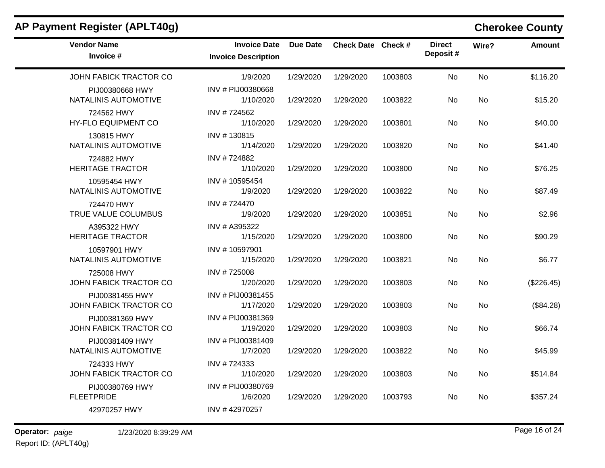| AP Payment Register (APLT40g)             |                                                   |           |                    |         |                           |           | <b>Cherokee County</b> |
|-------------------------------------------|---------------------------------------------------|-----------|--------------------|---------|---------------------------|-----------|------------------------|
| <b>Vendor Name</b><br>Invoice #           | <b>Invoice Date</b><br><b>Invoice Description</b> | Due Date  | Check Date Check # |         | <b>Direct</b><br>Deposit# | Wire?     | <b>Amount</b>          |
| JOHN FABICK TRACTOR CO                    | 1/9/2020                                          | 1/29/2020 | 1/29/2020          | 1003803 | No                        | No        | \$116.20               |
| PIJ00380668 HWY<br>NATALINIS AUTOMOTIVE   | INV # PIJ00380668<br>1/10/2020                    | 1/29/2020 | 1/29/2020          | 1003822 | No                        | <b>No</b> | \$15.20                |
| 724562 HWY<br>HY-FLO EQUIPMENT CO         | INV #724562<br>1/10/2020                          | 1/29/2020 | 1/29/2020          | 1003801 | No                        | No        | \$40.00                |
| 130815 HWY<br>NATALINIS AUTOMOTIVE        | INV #130815<br>1/14/2020                          | 1/29/2020 | 1/29/2020          | 1003820 | No.                       | No        | \$41.40                |
| 724882 HWY<br><b>HERITAGE TRACTOR</b>     | INV #724882<br>1/10/2020                          | 1/29/2020 | 1/29/2020          | 1003800 | No                        | No        | \$76.25                |
| 10595454 HWY<br>NATALINIS AUTOMOTIVE      | INV #10595454<br>1/9/2020                         | 1/29/2020 | 1/29/2020          | 1003822 | No                        | <b>No</b> | \$87.49                |
| 724470 HWY<br>TRUE VALUE COLUMBUS         | INV #724470<br>1/9/2020                           | 1/29/2020 | 1/29/2020          | 1003851 | No                        | No        | \$2.96                 |
| A395322 HWY<br><b>HERITAGE TRACTOR</b>    | INV # A395322<br>1/15/2020                        | 1/29/2020 | 1/29/2020          | 1003800 | No.                       | <b>No</b> | \$90.29                |
| 10597901 HWY<br>NATALINIS AUTOMOTIVE      | INV #10597901<br>1/15/2020                        | 1/29/2020 | 1/29/2020          | 1003821 | No                        | No        | \$6.77                 |
| 725008 HWY<br>JOHN FABICK TRACTOR CO      | INV #725008<br>1/20/2020                          | 1/29/2020 | 1/29/2020          | 1003803 | No.                       | No        | (\$226.45)             |
| PIJ00381455 HWY<br>JOHN FABICK TRACTOR CO | INV # PIJ00381455<br>1/17/2020                    | 1/29/2020 | 1/29/2020          | 1003803 | No                        | <b>No</b> | (\$84.28)              |
| PIJ00381369 HWY<br>JOHN FABICK TRACTOR CO | INV # PIJ00381369<br>1/19/2020                    | 1/29/2020 | 1/29/2020          | 1003803 | <b>No</b>                 | No        | \$66.74                |
| PIJ00381409 HWY<br>NATALINIS AUTOMOTIVE   | INV # PIJ00381409<br>1/7/2020                     | 1/29/2020 | 1/29/2020          | 1003822 | No                        | <b>No</b> | \$45.99                |
| 724333 HWY<br>JOHN FABICK TRACTOR CO      | INV #724333<br>1/10/2020                          | 1/29/2020 | 1/29/2020          | 1003803 | No                        | No        | \$514.84               |
| PIJ00380769 HWY<br><b>FLEETPRIDE</b>      | INV # PIJ00380769<br>1/6/2020                     | 1/29/2020 | 1/29/2020          | 1003793 | No.                       | No        | \$357.24               |
| 42970257 HWY                              | INV #42970257                                     |           |                    |         |                           |           |                        |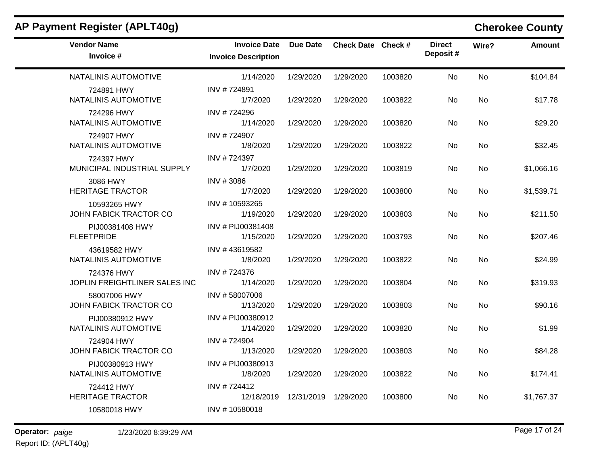|                                                   |                 |           |                      |                           |           | <b>Cherokee County</b> |
|---------------------------------------------------|-----------------|-----------|----------------------|---------------------------|-----------|------------------------|
| <b>Invoice Date</b><br><b>Invoice Description</b> | <b>Due Date</b> |           |                      | <b>Direct</b><br>Deposit# | Wire?     | Amount                 |
| 1/14/2020                                         | 1/29/2020       | 1/29/2020 | 1003820              | <b>No</b>                 | <b>No</b> | \$104.84               |
| INV #724891<br>1/7/2020                           | 1/29/2020       | 1/29/2020 | 1003822              | No                        | <b>No</b> | \$17.78                |
| INV #724296<br>1/14/2020                          | 1/29/2020       | 1/29/2020 | 1003820              | No                        | No.       | \$29.20                |
| INV #724907<br>1/8/2020                           | 1/29/2020       | 1/29/2020 | 1003822              | No                        | No.       | \$32.45                |
| INV #724397<br>1/7/2020                           | 1/29/2020       | 1/29/2020 | 1003819              | No                        | No.       | \$1,066.16             |
| INV #3086<br>1/7/2020                             | 1/29/2020       | 1/29/2020 | 1003800              | No                        | <b>No</b> | \$1,539.71             |
| INV #10593265<br>1/19/2020                        | 1/29/2020       | 1/29/2020 | 1003803              | No                        | <b>No</b> | \$211.50               |
| INV # PIJ00381408<br>1/15/2020                    | 1/29/2020       | 1/29/2020 | 1003793              | No                        | <b>No</b> | \$207.46               |
| INV #43619582<br>1/8/2020                         | 1/29/2020       | 1/29/2020 | 1003822              | No                        | <b>No</b> | \$24.99                |
| INV #724376<br>1/14/2020                          | 1/29/2020       | 1/29/2020 | 1003804              | No                        | No.       | \$319.93               |
| INV #58007006<br>1/13/2020                        | 1/29/2020       | 1/29/2020 | 1003803              | No                        | <b>No</b> | \$90.16                |
| INV # PIJ00380912<br>1/14/2020                    | 1/29/2020       | 1/29/2020 | 1003820              | No                        | No.       | \$1.99                 |
| INV #724904<br>1/13/2020                          | 1/29/2020       | 1/29/2020 | 1003803              | No                        | <b>No</b> | \$84.28                |
| INV # PIJ00380913<br>1/8/2020                     | 1/29/2020       | 1/29/2020 | 1003822              | No                        | No.       | \$174.41               |
| INV #724412<br>12/18/2019                         |                 |           | 1003800              | No                        | No.       | \$1,767.37             |
| INV #10580018                                     |                 |           |                      |                           |           |                        |
|                                                   |                 |           | 12/31/2019 1/29/2020 | Check Date Check #        |           |                        |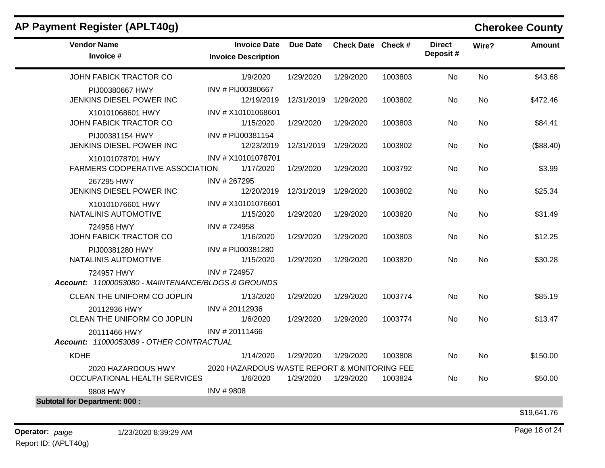| AP Payment Register (APLT40g) |  |  |  |  |  |
|-------------------------------|--|--|--|--|--|
|-------------------------------|--|--|--|--|--|

 $\mathbf{r}$ 

## **Cherokee County**

| <b>Vendor Name</b><br>Invoice #                                  | <b>Invoice Date</b><br><b>Invoice Description</b>        | <b>Due Date</b> | Check Date Check # |         | <b>Direct</b><br>Deposit# | Wire?     | <b>Amount</b> |
|------------------------------------------------------------------|----------------------------------------------------------|-----------------|--------------------|---------|---------------------------|-----------|---------------|
| <b>JOHN FABICK TRACTOR CO</b>                                    | 1/9/2020                                                 | 1/29/2020       | 1/29/2020          | 1003803 | No.                       | <b>No</b> | \$43.68       |
| PIJ00380667 HWY<br>JENKINS DIESEL POWER INC                      | INV # PIJ00380667<br>12/19/2019                          | 12/31/2019      | 1/29/2020          | 1003802 | N <sub>0</sub>            | <b>No</b> | \$472.46      |
| X10101068601 HWY<br>JOHN FABICK TRACTOR CO                       | INV # X10101068601<br>1/15/2020                          | 1/29/2020       | 1/29/2020          | 1003803 | <b>No</b>                 | No        | \$84.41       |
| PIJ00381154 HWY<br>JENKINS DIESEL POWER INC                      | INV # PIJ00381154<br>12/23/2019                          | 12/31/2019      | 1/29/2020          | 1003802 | No                        | No        | (\$88.40)     |
| X10101078701 HWY<br><b>FARMERS COOPERATIVE ASSOCIATION</b>       | INV # X10101078701<br>1/17/2020                          | 1/29/2020       | 1/29/2020          | 1003792 | <b>No</b>                 | <b>No</b> | \$3.99        |
| 267295 HWY<br>JENKINS DIESEL POWER INC                           | INV #267295<br>12/20/2019                                | 12/31/2019      | 1/29/2020          | 1003802 | No                        | No        | \$25.34       |
| X10101076601 HWY<br>NATALINIS AUTOMOTIVE                         | INV # X10101076601<br>1/15/2020                          | 1/29/2020       | 1/29/2020          | 1003820 | No                        | <b>No</b> | \$31.49       |
| 724958 HWY<br>JOHN FABICK TRACTOR CO                             | INV #724958<br>1/16/2020                                 | 1/29/2020       | 1/29/2020          | 1003803 | No                        | <b>No</b> | \$12.25       |
| PIJ00381280 HWY<br>NATALINIS AUTOMOTIVE                          | INV # PIJ00381280<br>1/15/2020                           | 1/29/2020       | 1/29/2020          | 1003820 | No                        | No.       | \$30.28       |
| 724957 HWY<br>Account: 11000053080 - MAINTENANCE/BLDGS & GROUNDS | INV #724957                                              |                 |                    |         |                           |           |               |
| CLEAN THE UNIFORM CO JOPLIN                                      | 1/13/2020                                                | 1/29/2020       | 1/29/2020          | 1003774 | No                        | <b>No</b> | \$85.19       |
| 20112936 HWY<br>CLEAN THE UNIFORM CO JOPLIN                      | INV #20112936<br>1/6/2020                                | 1/29/2020       | 1/29/2020          | 1003774 | No.                       | No.       | \$13.47       |
| 20111466 HWY<br>Account: 11000053089 - OTHER CONTRACTUAL         | INV #20111466                                            |                 |                    |         |                           |           |               |
| <b>KDHE</b>                                                      | 1/14/2020                                                | 1/29/2020       | 1/29/2020          | 1003808 | <b>No</b>                 | No        | \$150.00      |
| 2020 HAZARDOUS HWY<br>OCCUPATIONAL HEALTH SERVICES               | 2020 HAZARDOUS WASTE REPORT & MONITORING FEE<br>1/6/2020 | 1/29/2020       | 1/29/2020          | 1003824 | N <sub>0</sub>            | No        | \$50.00       |
| 9808 HWY                                                         | INV #9808                                                |                 |                    |         |                           |           |               |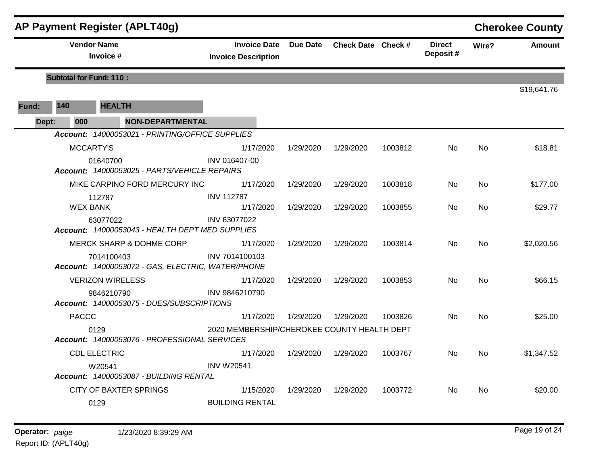|       |                                 | AP Payment Register (APLT40g)                                   |                                                   |                 |                    |         |                           |           | <b>Cherokee County</b> |
|-------|---------------------------------|-----------------------------------------------------------------|---------------------------------------------------|-----------------|--------------------|---------|---------------------------|-----------|------------------------|
|       | <b>Vendor Name</b><br>Invoice # |                                                                 | <b>Invoice Date</b><br><b>Invoice Description</b> | <b>Due Date</b> | Check Date Check # |         | <b>Direct</b><br>Deposit# | Wire?     | <b>Amount</b>          |
|       | <b>Subtotal for Fund: 110:</b>  |                                                                 |                                                   |                 |                    |         |                           |           |                        |
| Fund: | 140                             | <b>HEALTH</b>                                                   |                                                   |                 |                    |         |                           |           | \$19,641.76            |
| Dept: | 000                             | <b>NON-DEPARTMENTAL</b>                                         |                                                   |                 |                    |         |                           |           |                        |
|       |                                 | Account: 14000053021 - PRINTING/OFFICE SUPPLIES                 |                                                   |                 |                    |         |                           |           |                        |
|       |                                 | MCCARTY'S                                                       | 1/17/2020                                         | 1/29/2020       | 1/29/2020          | 1003812 | No.                       | <b>No</b> | \$18.81                |
|       |                                 | 01640700<br>Account: 14000053025 - PARTS/VEHICLE REPAIRS        | INV 016407-00                                     |                 |                    |         |                           |           |                        |
|       |                                 | MIKE CARPINO FORD MERCURY INC                                   | 1/17/2020                                         | 1/29/2020       | 1/29/2020          | 1003818 | No.                       | No        | \$177.00               |
|       | <b>WEX BANK</b>                 | 112787                                                          | <b>INV 112787</b><br>1/17/2020                    | 1/29/2020       | 1/29/2020          | 1003855 | No.                       | No        | \$29.77                |
|       |                                 | 63077022<br>Account: 14000053043 - HEALTH DEPT MED SUPPLIES     | INV 63077022                                      |                 |                    |         |                           |           |                        |
|       |                                 | MERCK SHARP & DOHME CORP                                        | 1/17/2020                                         | 1/29/2020       | 1/29/2020          | 1003814 | No                        | No        | \$2,020.56             |
|       |                                 | 7014100403<br>Account: 14000053072 - GAS, ELECTRIC, WATER/PHONE | INV 7014100103                                    |                 |                    |         |                           |           |                        |
|       |                                 | <b>VERIZON WIRELESS</b>                                         | 1/17/2020                                         | 1/29/2020       | 1/29/2020          | 1003853 | No                        | No        | \$66.15                |
|       |                                 | 9846210790<br>Account: 14000053075 - DUES/SUBSCRIPTIONS         | INV 9846210790                                    |                 |                    |         |                           |           |                        |
|       | <b>PACCC</b>                    |                                                                 | 1/17/2020                                         | 1/29/2020       | 1/29/2020          | 1003826 | <b>No</b>                 | <b>No</b> | \$25.00                |
|       |                                 | 0129<br>Account: 14000053076 - PROFESSIONAL SERVICES            | 2020 MEMBERSHIP/CHEROKEE COUNTY HEALTH DEPT       |                 |                    |         |                           |           |                        |
|       |                                 | <b>CDL ELECTRIC</b>                                             | 1/17/2020                                         | 1/29/2020       | 1/29/2020          | 1003767 | No.                       | <b>No</b> | \$1,347.52             |
|       |                                 | W20541<br>Account: 14000053087 - BUILDING RENTAL                | <b>INV W20541</b>                                 |                 |                    |         |                           |           |                        |
|       |                                 | <b>CITY OF BAXTER SPRINGS</b>                                   | 1/15/2020                                         | 1/29/2020       | 1/29/2020          | 1003772 | <b>No</b>                 | <b>No</b> | \$20.00                |
|       |                                 | 0129                                                            | <b>BUILDING RENTAL</b>                            |                 |                    |         |                           |           |                        |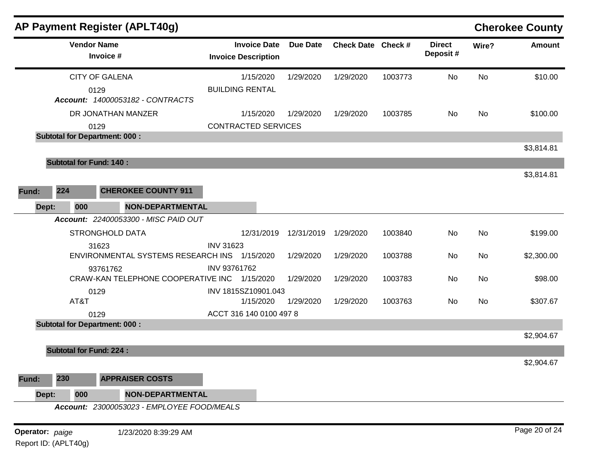|                 |                                | AP Payment Register (APLT40g)                |                                                   |                 |                    |         |                           |       | <b>Cherokee County</b> |
|-----------------|--------------------------------|----------------------------------------------|---------------------------------------------------|-----------------|--------------------|---------|---------------------------|-------|------------------------|
|                 | <b>Vendor Name</b>             | Invoice #                                    | <b>Invoice Date</b><br><b>Invoice Description</b> | <b>Due Date</b> | Check Date Check # |         | <b>Direct</b><br>Deposit# | Wire? | <b>Amount</b>          |
|                 | <b>CITY OF GALENA</b>          |                                              | 1/15/2020                                         | 1/29/2020       | 1/29/2020          | 1003773 | No                        | No    | \$10.00                |
|                 | 0129                           | Account: 14000053182 - CONTRACTS             | <b>BUILDING RENTAL</b>                            |                 |                    |         |                           |       |                        |
|                 |                                | DR JONATHAN MANZER                           | 1/15/2020                                         | 1/29/2020       | 1/29/2020          | 1003785 | No                        | No    | \$100.00               |
|                 | 0129                           |                                              | <b>CONTRACTED SERVICES</b>                        |                 |                    |         |                           |       |                        |
|                 |                                | <b>Subtotal for Department: 000:</b>         |                                                   |                 |                    |         |                           |       |                        |
|                 |                                |                                              |                                                   |                 |                    |         |                           |       | \$3,814.81             |
|                 | <b>Subtotal for Fund: 140:</b> |                                              |                                                   |                 |                    |         |                           |       |                        |
|                 |                                |                                              |                                                   |                 |                    |         |                           |       | \$3,814.81             |
| Fund:           | 224                            | <b>CHEROKEE COUNTY 911</b>                   |                                                   |                 |                    |         |                           |       |                        |
| Dept:           | 000                            | <b>NON-DEPARTMENTAL</b>                      |                                                   |                 |                    |         |                           |       |                        |
|                 |                                | Account: 22400053300 - MISC PAID OUT         |                                                   |                 |                    |         |                           |       |                        |
|                 |                                | <b>STRONGHOLD DATA</b>                       | 12/31/2019                                        | 12/31/2019      | 1/29/2020          | 1003840 | No                        | No    | \$199.00               |
|                 | 31623                          |                                              | <b>INV 31623</b>                                  |                 |                    |         |                           |       |                        |
|                 |                                | ENVIRONMENTAL SYSTEMS RESEARCH INS 1/15/2020 |                                                   | 1/29/2020       | 1/29/2020          | 1003788 | No                        | No    | \$2,300.00             |
|                 |                                | 93761762                                     | INV 93761762                                      |                 |                    |         |                           |       |                        |
|                 |                                | CRAW-KAN TELEPHONE COOPERATIVE INC 1/15/2020 |                                                   | 1/29/2020       | 1/29/2020          | 1003783 | No                        | No    | \$98.00                |
|                 | 0129                           |                                              | INV 1815SZ10901.043                               |                 |                    |         |                           |       |                        |
|                 | AT&T                           |                                              | 1/15/2020                                         | 1/29/2020       | 1/29/2020          | 1003763 | No                        | No    | \$307.67               |
|                 | 0129                           |                                              | ACCT 316 140 0100 497 8                           |                 |                    |         |                           |       |                        |
|                 |                                | <b>Subtotal for Department: 000:</b>         |                                                   |                 |                    |         |                           |       |                        |
|                 |                                |                                              |                                                   |                 |                    |         |                           |       | \$2,904.67             |
|                 | <b>Subtotal for Fund: 224:</b> |                                              |                                                   |                 |                    |         |                           |       |                        |
|                 |                                |                                              |                                                   |                 |                    |         |                           |       | \$2,904.67             |
| Fund:           | 230                            | <b>APPRAISER COSTS</b>                       |                                                   |                 |                    |         |                           |       |                        |
| Dept:           | 000                            | <b>NON-DEPARTMENTAL</b>                      |                                                   |                 |                    |         |                           |       |                        |
|                 |                                | Account: 23000053023 - EMPLOYEE FOOD/MEALS   |                                                   |                 |                    |         |                           |       |                        |
| Operator: paige |                                | 1/23/2020 8:39:29 AM                         |                                                   |                 |                    |         |                           |       | Page 20 of 24          |
|                 |                                |                                              |                                                   |                 |                    |         |                           |       |                        |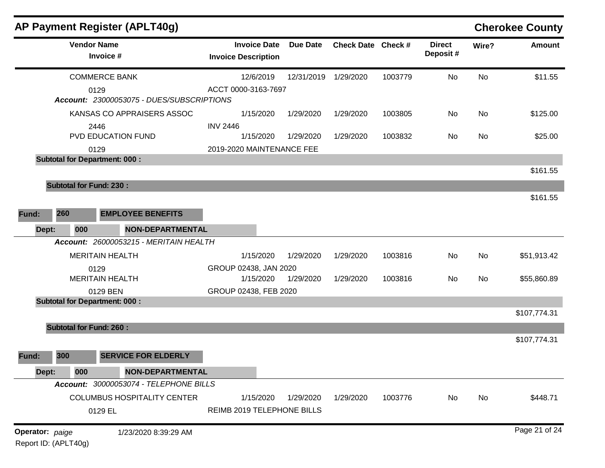|                 |                                | AP Payment Register (APLT40g)                     |                                                   |                 |                    |         |                           |           | <b>Cherokee County</b> |
|-----------------|--------------------------------|---------------------------------------------------|---------------------------------------------------|-----------------|--------------------|---------|---------------------------|-----------|------------------------|
|                 |                                | <b>Vendor Name</b><br>Invoice #                   | <b>Invoice Date</b><br><b>Invoice Description</b> | <b>Due Date</b> | Check Date Check # |         | <b>Direct</b><br>Deposit# | Wire?     | <b>Amount</b>          |
|                 |                                | <b>COMMERCE BANK</b>                              | 12/6/2019                                         | 12/31/2019      | 1/29/2020          | 1003779 | No                        | No        | \$11.55                |
|                 |                                | 0129<br>Account: 23000053075 - DUES/SUBSCRIPTIONS | ACCT 0000-3163-7697                               |                 |                    |         |                           |           |                        |
|                 |                                | KANSAS CO APPRAISERS ASSOC                        | 1/15/2020                                         | 1/29/2020       | 1/29/2020          | 1003805 | No                        | <b>No</b> | \$125.00               |
|                 |                                | 2446<br>PVD EDUCATION FUND                        | <b>INV 2446</b><br>1/15/2020                      | 1/29/2020       | 1/29/2020          | 1003832 | No                        | <b>No</b> | \$25.00                |
|                 |                                | 0129                                              | 2019-2020 MAINTENANCE FEE                         |                 |                    |         |                           |           |                        |
|                 |                                | <b>Subtotal for Department: 000:</b>              |                                                   |                 |                    |         |                           |           |                        |
|                 |                                |                                                   |                                                   |                 |                    |         |                           |           | \$161.55               |
|                 | <b>Subtotal for Fund: 230:</b> |                                                   |                                                   |                 |                    |         |                           |           |                        |
|                 |                                |                                                   |                                                   |                 |                    |         |                           |           | \$161.55               |
| Fund:           | 260                            | <b>EMPLOYEE BENEFITS</b>                          |                                                   |                 |                    |         |                           |           |                        |
| Dept:           | 000                            | <b>NON-DEPARTMENTAL</b>                           |                                                   |                 |                    |         |                           |           |                        |
|                 |                                | Account: 26000053215 - MERITAIN HEALTH            |                                                   |                 |                    |         |                           |           |                        |
|                 |                                | <b>MERITAIN HEALTH</b>                            | 1/15/2020                                         | 1/29/2020       | 1/29/2020          | 1003816 | No                        | <b>No</b> | \$51,913.42            |
|                 |                                | 0129                                              | GROUP 02438, JAN 2020                             |                 |                    |         |                           |           |                        |
|                 |                                | <b>MERITAIN HEALTH</b>                            | 1/15/2020                                         | 1/29/2020       | 1/29/2020          | 1003816 | No                        | <b>No</b> | \$55,860.89            |
|                 |                                | 0129 BEN                                          | GROUP 02438, FEB 2020                             |                 |                    |         |                           |           |                        |
|                 |                                | <b>Subtotal for Department: 000:</b>              |                                                   |                 |                    |         |                           |           |                        |
|                 |                                |                                                   |                                                   |                 |                    |         |                           |           | \$107,774.31           |
|                 | <b>Subtotal for Fund: 260:</b> |                                                   |                                                   |                 |                    |         |                           |           |                        |
|                 |                                |                                                   |                                                   |                 |                    |         |                           |           | \$107,774.31           |
| Fund:           | 300                            | <b>SERVICE FOR ELDERLY</b>                        |                                                   |                 |                    |         |                           |           |                        |
| Dept:           | 000                            | <b>NON-DEPARTMENTAL</b>                           |                                                   |                 |                    |         |                           |           |                        |
|                 |                                | Account: 30000053074 - TELEPHONE BILLS            |                                                   |                 |                    |         |                           |           |                        |
|                 |                                | <b>COLUMBUS HOSPITALITY CENTER</b>                | 1/15/2020                                         | 1/29/2020       | 1/29/2020          | 1003776 | No                        | No        | \$448.71               |
|                 |                                | 0129 EL                                           | REIMB 2019 TELEPHONE BILLS                        |                 |                    |         |                           |           |                        |
| Operator: paige |                                | 1/23/2020 8:39:29 AM                              |                                                   |                 |                    |         |                           |           | Page 21 of 24          |

Report ID: (APLT40g)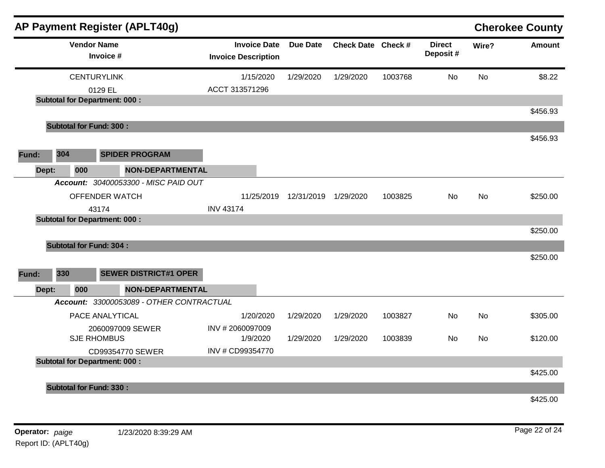|       |                                        |     | AP Payment Register (APLT40g)            |                                                   |                 |                    |         |                           |           | <b>Cherokee County</b> |
|-------|----------------------------------------|-----|------------------------------------------|---------------------------------------------------|-----------------|--------------------|---------|---------------------------|-----------|------------------------|
|       |                                        |     | <b>Vendor Name</b><br>Invoice #          | <b>Invoice Date</b><br><b>Invoice Description</b> | <b>Due Date</b> | Check Date Check # |         | <b>Direct</b><br>Deposit# | Wire?     | <b>Amount</b>          |
|       |                                        |     | <b>CENTURYLINK</b>                       | 1/15/2020                                         | 1/29/2020       | 1/29/2020          | 1003768 | <b>No</b>                 | <b>No</b> | \$8.22                 |
|       |                                        |     | 0129 EL                                  | ACCT 313571296                                    |                 |                    |         |                           |           |                        |
|       |                                        |     | <b>Subtotal for Department: 000:</b>     |                                                   |                 |                    |         |                           |           |                        |
|       |                                        |     |                                          |                                                   |                 |                    |         |                           |           | \$456.93               |
|       |                                        |     | <b>Subtotal for Fund: 300:</b>           |                                                   |                 |                    |         |                           |           |                        |
|       |                                        |     |                                          |                                                   |                 |                    |         |                           |           | \$456.93               |
| Fund: | 304                                    |     | <b>SPIDER PROGRAM</b>                    |                                                   |                 |                    |         |                           |           |                        |
|       | Dept:                                  | 000 | <b>NON-DEPARTMENTAL</b>                  |                                                   |                 |                    |         |                           |           |                        |
|       |                                        |     | Account: 30400053300 - MISC PAID OUT     |                                                   |                 |                    |         |                           |           |                        |
|       | OFFENDER WATCH                         |     |                                          | 11/25/2019                                        | 12/31/2019      | 1/29/2020          | 1003825 | No                        | No        | \$250.00               |
|       | 43174                                  |     |                                          | <b>INV 43174</b>                                  |                 |                    |         |                           |           |                        |
|       |                                        |     | <b>Subtotal for Department: 000:</b>     |                                                   |                 |                    |         |                           |           |                        |
|       |                                        |     |                                          |                                                   |                 |                    |         |                           |           | \$250.00               |
|       |                                        |     | <b>Subtotal for Fund: 304:</b>           |                                                   |                 |                    |         |                           |           |                        |
|       |                                        |     |                                          |                                                   |                 |                    |         |                           |           | \$250.00               |
| Fund: | 330                                    |     | <b>SEWER DISTRICT#1 OPER</b>             |                                                   |                 |                    |         |                           |           |                        |
|       | Dept:                                  | 000 | <b>NON-DEPARTMENTAL</b>                  |                                                   |                 |                    |         |                           |           |                        |
|       |                                        |     | Account: 33000053089 - OTHER CONTRACTUAL |                                                   |                 |                    |         |                           |           |                        |
|       |                                        |     | PACE ANALYTICAL                          | 1/20/2020                                         | 1/29/2020       | 1/29/2020          | 1003827 | No                        | <b>No</b> | \$305.00               |
|       |                                        |     | 2060097009 SEWER                         | INV #2060097009                                   |                 |                    |         |                           |           |                        |
|       |                                        |     |                                          | 1/9/2020                                          | 1/29/2020       | 1/29/2020          | 1003839 | No                        | No        | \$120.00               |
|       | <b>SJE RHOMBUS</b><br>CD99354770 SEWER |     |                                          | INV # CD99354770                                  |                 |                    |         |                           |           |                        |
|       |                                        |     | <b>Subtotal for Department: 000:</b>     |                                                   |                 |                    |         |                           |           |                        |
|       |                                        |     |                                          |                                                   |                 |                    |         |                           |           | \$425.00               |
|       |                                        |     | <b>Subtotal for Fund: 330:</b>           |                                                   |                 |                    |         |                           |           |                        |
|       |                                        |     |                                          |                                                   |                 |                    |         |                           |           | \$425.00               |
|       |                                        |     |                                          |                                                   |                 |                    |         |                           |           |                        |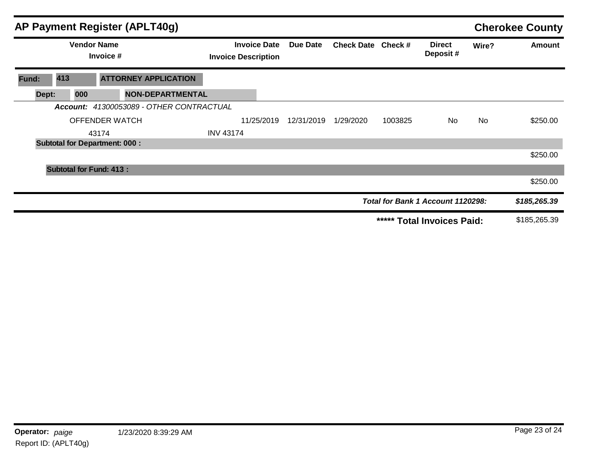|       |                                      |                       | AP Payment Register (APLT40g)            |                                                   |            |            |                    |         |                                   |       | <b>Cherokee County</b> |
|-------|--------------------------------------|-----------------------|------------------------------------------|---------------------------------------------------|------------|------------|--------------------|---------|-----------------------------------|-------|------------------------|
|       | <b>Vendor Name</b><br>Invoice #      |                       |                                          | <b>Invoice Date</b><br><b>Invoice Description</b> |            | Due Date   | Check Date Check # |         | <b>Direct</b><br>Deposit#         | Wire? | <b>Amount</b>          |
| Fund: | 413                                  |                       | <b>ATTORNEY APPLICATION</b>              |                                                   |            |            |                    |         |                                   |       |                        |
| Dept: | 000                                  |                       | <b>NON-DEPARTMENTAL</b>                  |                                                   |            |            |                    |         |                                   |       |                        |
|       |                                      |                       | Account: 41300053089 - OTHER CONTRACTUAL |                                                   |            |            |                    |         |                                   |       |                        |
|       |                                      | <b>OFFENDER WATCH</b> |                                          |                                                   | 11/25/2019 | 12/31/2019 | 1/29/2020          | 1003825 | No.                               | No.   | \$250.00               |
|       |                                      | 43174                 |                                          | <b>INV 43174</b>                                  |            |            |                    |         |                                   |       |                        |
|       | <b>Subtotal for Department: 000:</b> |                       |                                          |                                                   |            |            |                    |         |                                   |       |                        |
|       |                                      |                       |                                          |                                                   |            |            |                    |         |                                   |       | \$250.00               |
|       | <b>Subtotal for Fund: 413:</b>       |                       |                                          |                                                   |            |            |                    |         |                                   |       |                        |
|       |                                      |                       |                                          |                                                   |            |            |                    |         |                                   |       | \$250.00               |
|       |                                      |                       |                                          |                                                   |            |            |                    |         | Total for Bank 1 Account 1120298: |       | \$185,265.39           |
|       |                                      |                       |                                          |                                                   |            |            |                    | *****   | <b>Total Invoices Paid:</b>       |       | \$185,265.39           |